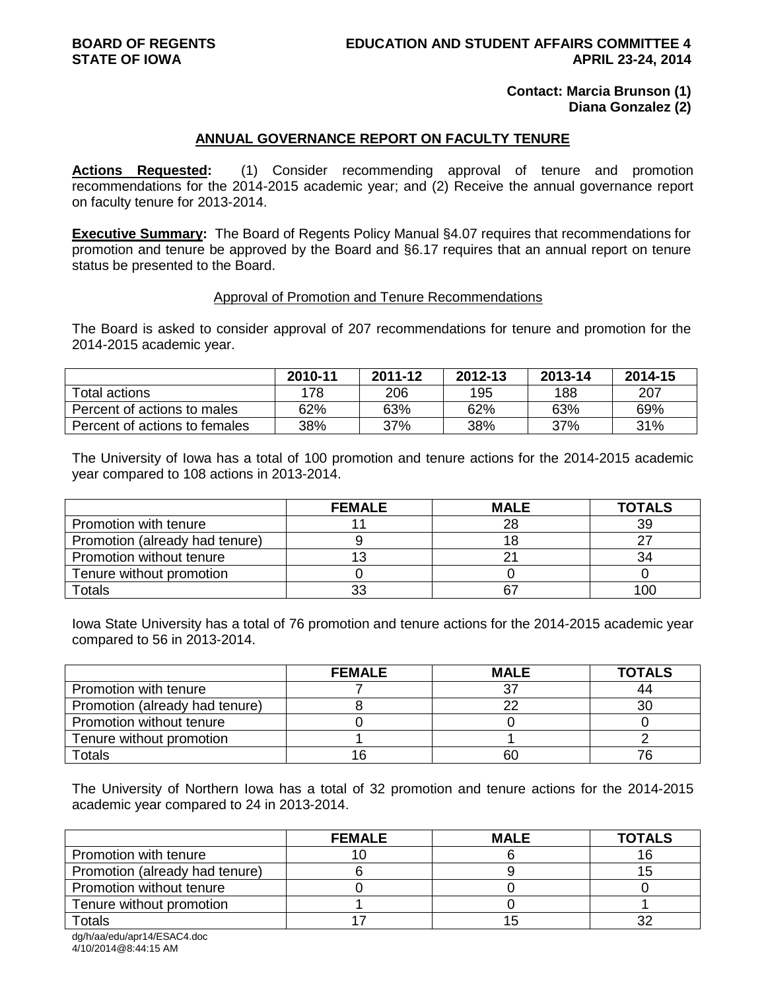## **Contact: Marcia Brunson (1) Diana Gonzalez (2)**

### **ANNUAL GOVERNANCE REPORT ON FACULTY TENURE**

**Actions Requested:** (1) Consider recommending approval of tenure and promotion recommendations for the 2014-2015 academic year; and (2) Receive the annual governance report on faculty tenure for 2013-2014.

**Executive Summary:** The Board of Regents Policy Manual §4.07 requires that recommendations for promotion and tenure be approved by the Board and §6.17 requires that an annual report on tenure status be presented to the Board.

#### Approval of Promotion and Tenure Recommendations

The Board is asked to consider approval of 207 recommendations for tenure and promotion for the 2014-2015 academic year.

|                               | 2010-11 | 2011-12 | 2012-13 | 2013-14 | 2014-15 |
|-------------------------------|---------|---------|---------|---------|---------|
| Total actions                 | 178     | 206     | 195     | 188     | 207     |
| Percent of actions to males   | 62%     | 63%     | 62%     | 63%     | 69%     |
| Percent of actions to females | 38%     | 37%     | 38%     | 37%     | 31%     |

The University of Iowa has a total of 100 promotion and tenure actions for the 2014-2015 academic year compared to 108 actions in 2013-2014.

|                                | <b>FEMALE</b> | <b>MALE</b> | <b>TOTALS</b> |
|--------------------------------|---------------|-------------|---------------|
| Promotion with tenure          |               | 28          | 39            |
| Promotion (already had tenure) |               |             | 27            |
| Promotion without tenure       |               |             | 34            |
| Tenure without promotion       |               |             |               |
| Totals                         | 33            | 67          | 100           |

Iowa State University has a total of 76 promotion and tenure actions for the 2014-2015 academic year compared to 56 in 2013-2014.

|                                | <b>FEMALE</b> | <b>MALE</b> | <b>TOTALS</b> |
|--------------------------------|---------------|-------------|---------------|
| Promotion with tenure          |               |             | 44            |
| Promotion (already had tenure) |               | nr          | 30            |
| Promotion without tenure       |               |             |               |
| Tenure without promotion       |               |             |               |
| Totals                         |               | 60          |               |

The University of Northern Iowa has a total of 32 promotion and tenure actions for the 2014-2015 academic year compared to 24 in 2013-2014.

|                                | <b>FEMALE</b> | <b>MALE</b> | <b>TOTALS</b> |
|--------------------------------|---------------|-------------|---------------|
| Promotion with tenure          |               |             |               |
| Promotion (already had tenure) |               |             |               |
| Promotion without tenure       |               |             |               |
| Tenure without promotion       |               |             |               |
| Totals                         |               |             |               |

dg/h/aa/edu/apr14/ESAC4.doc 4/10/2014@8:44:15 AM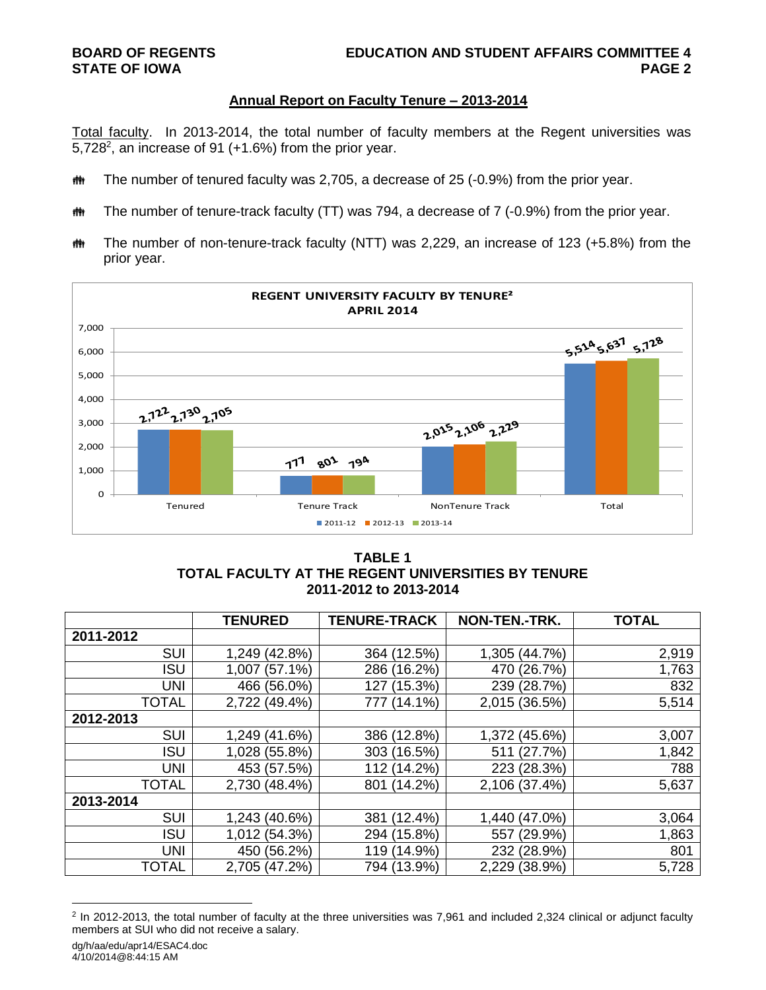# **Annual Report on Faculty Tenure – 2013-2014**

Total faculty. In 2013-2014, the total number of faculty members at the Regent universities was 5,728 $^2$ , an increase of 91 ( $+1.6\%$ ) from the prior year.

- **##** The number of tenured faculty was 2,705, a decrease of 25 (-0.9%) from the prior year.
- $\ddot{\mathbf{m}}$  The number of tenure-track faculty (TT) was 794, a decrease of 7 (-0.9%) from the prior year.
- The number of non-tenure-track faculty (NTT) was 2,229, an increase of 123 (+5.8%) from the prior year.



# **TABLE 1 TOTAL FACULTY AT THE REGENT UNIVERSITIES BY TENURE 2011-2012 to 2013-2014**

|              | <b>TENURED</b> | <b>TENURE-TRACK</b> | NON-TEN.-TRK. | <b>TOTAL</b> |
|--------------|----------------|---------------------|---------------|--------------|
| 2011-2012    |                |                     |               |              |
| <b>SUI</b>   | 1,249 (42.8%)  | 364 (12.5%)         | 1,305 (44.7%) | 2,919        |
| <b>ISU</b>   | 1,007 (57.1%)  | 286 (16.2%)         | 470 (26.7%)   | 1,763        |
| <b>UNI</b>   | 466 (56.0%)    | 127 (15.3%)         | 239 (28.7%)   | 832          |
| <b>TOTAL</b> | 2,722 (49.4%)  | 777 (14.1%)         | 2,015 (36.5%) | 5,514        |
| 2012-2013    |                |                     |               |              |
| <b>SUI</b>   | 1,249 (41.6%)  | 386 (12.8%)         | 1,372 (45.6%) | 3,007        |
| <b>ISU</b>   | 1,028 (55.8%)  | 303 (16.5%)         | 511 (27.7%)   | 1,842        |
| <b>UNI</b>   | 453 (57.5%)    | 112 (14.2%)         | 223 (28.3%)   | 788          |
| <b>TOTAL</b> | 2,730 (48.4%)  | 801 (14.2%)         | 2,106 (37.4%) | 5,637        |
| 2013-2014    |                |                     |               |              |
| <b>SUI</b>   | 1,243 (40.6%)  | $(12.4\%)$<br>381   | 1,440 (47.0%) | 3,064        |
| <b>ISU</b>   | 1,012 (54.3%)  | 294 (15.8%)         | 557 (29.9%)   | 1,863        |
| <b>UNI</b>   | 450 (56.2%)    | 119 (14.9%)         | 232 (28.9%)   | 801          |
| <b>TOTAL</b> | 2,705 (47.2%)  | 794 (13.9%)         | 2,229 (38.9%) | 5,728        |

<sup>&</sup>lt;sup>2</sup> In 2012-2013, the total number of faculty at the three universities was 7,961 and included 2,324 clinical or adjunct faculty members at SUI who did not receive a salary.

l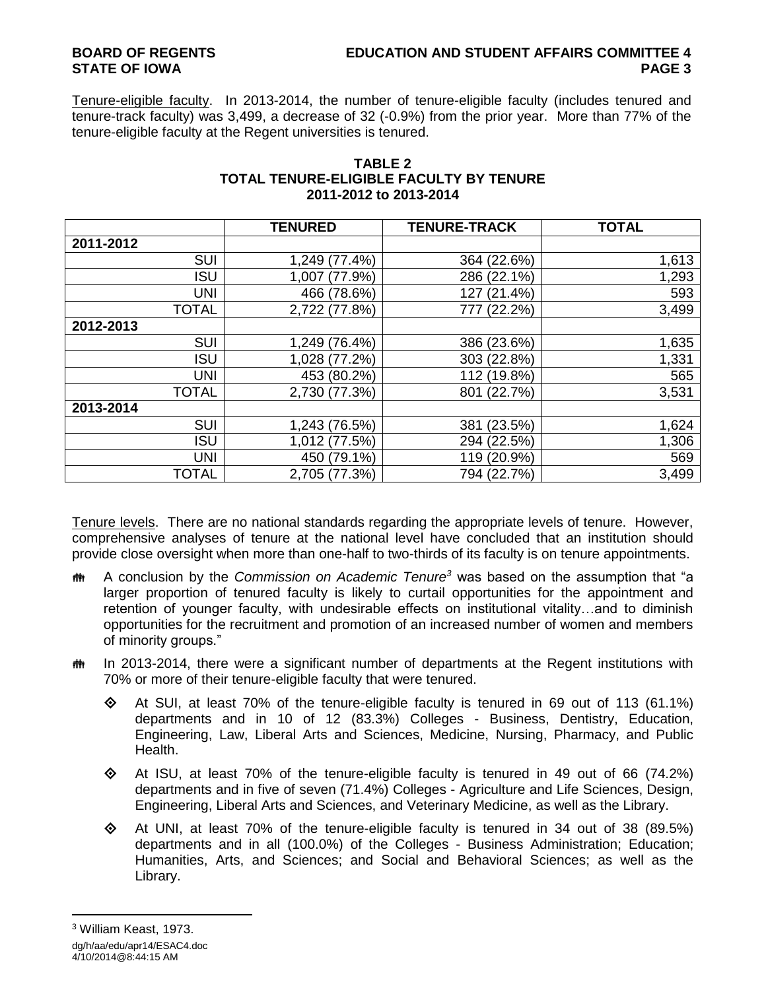# **BOARD OF REGENTS EDUCATION AND STUDENT AFFAIRS COMMITTEE 4 STATE OF IOWA PAGE 3**

Tenure-eligible faculty. In 2013-2014, the number of tenure-eligible faculty (includes tenured and tenure-track faculty) was 3,499, a decrease of 32 (-0.9%) from the prior year. More than 77% of the tenure-eligible faculty at the Regent universities is tenured.

|              | <b>TENURED</b> | <b>TENURE-TRACK</b> | <b>TOTAL</b> |
|--------------|----------------|---------------------|--------------|
| 2011-2012    |                |                     |              |
| <b>SUI</b>   | 1,249 (77.4%)  | 364 (22.6%)         | 1,613        |
| <b>ISU</b>   | 1,007 (77.9%)  | 286 (22.1%)         | 1,293        |
| <b>UNI</b>   | 466 (78.6%)    | 127 (21.4%)         | 593          |
| <b>TOTAL</b> | 2,722 (77.8%)  | 777 (22.2%)         | 3,499        |
| 2012-2013    |                |                     |              |
| <b>SUI</b>   | 1,249 (76.4%)  | 386 (23.6%)         | 1,635        |
| <b>ISU</b>   | 1,028 (77.2%)  | 303 (22.8%)         | 1,331        |
| <b>UNI</b>   | 453 (80.2%)    | 112 (19.8%)         | 565          |
| <b>TOTAL</b> | 2,730 (77.3%)  | 801 (22.7%)         | 3,531        |
| 2013-2014    |                |                     |              |
| SUI          | 1,243 (76.5%)  | 381 (23.5%)         | 1,624        |
| <b>ISU</b>   | 1,012 (77.5%)  | 294 (22.5%)         | 1,306        |
| <b>UNI</b>   | 450 (79.1%)    | 119 (20.9%)         | 569          |
| TOTAL        | 2,705 (77.3%)  | 794 (22.7%)         | 3,499        |

# **TABLE 2 TOTAL TENURE-ELIGIBLE FACULTY BY TENURE 2011-2012 to 2013-2014**

Tenure levels. There are no national standards regarding the appropriate levels of tenure. However, comprehensive analyses of tenure at the national level have concluded that an institution should provide close oversight when more than one-half to two-thirds of its faculty is on tenure appointments.

- **<sup>#\*</sup>** A conclusion by the *Commission on Academic Tenure<sup>3</sup>* was based on the assumption that "a larger proportion of tenured faculty is likely to curtail opportunities for the appointment and retention of younger faculty, with undesirable effects on institutional vitality…and to diminish opportunities for the recruitment and promotion of an increased number of women and members of minority groups."
- $\ddot{\mathbf{m}}$  In 2013-2014, there were a significant number of departments at the Regent institutions with 70% or more of their tenure-eligible faculty that were tenured.
	- $\Diamond$  At SUI, at least 70% of the tenure-eligible faculty is tenured in 69 out of 113 (61.1%) departments and in 10 of 12 (83.3%) Colleges - Business, Dentistry, Education, Engineering, Law, Liberal Arts and Sciences, Medicine, Nursing, Pharmacy, and Public Health.
	- $\Diamond$  At ISU, at least 70% of the tenure-eligible faculty is tenured in 49 out of 66 (74.2%) departments and in five of seven (71.4%) Colleges - Agriculture and Life Sciences, Design, Engineering, Liberal Arts and Sciences, and Veterinary Medicine, as well as the Library.
	- $\Diamond$  At UNI, at least 70% of the tenure-eligible faculty is tenured in 34 out of 38 (89.5%) departments and in all (100.0%) of the Colleges - Business Administration; Education; Humanities, Arts, and Sciences; and Social and Behavioral Sciences; as well as the Library.

 $\overline{a}$ <sup>3</sup> William Keast, 1973.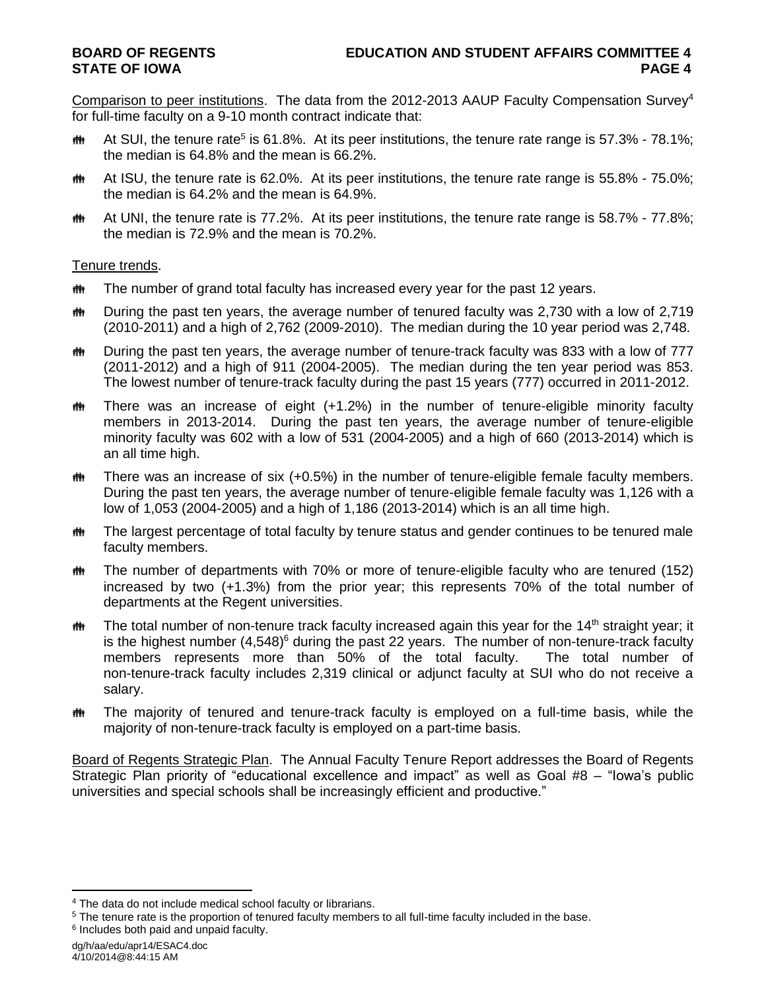Comparison to peer institutions. The data from the 2012-2013 AAUP Faculty Compensation Survey<sup>4</sup> for full-time faculty on a 9-10 month contract indicate that:

- th At SUI, the tenure rate<sup>5</sup> is 61.8%. At its peer institutions, the tenure rate range is 57.3% 78.1%; the median is 64.8% and the mean is 66.2%.
- $\text{m}$  At ISU, the tenure rate is 62.0%. At its peer institutions, the tenure rate range is 55.8% 75.0%; the median is 64.2% and the mean is 64.9%.
- $\ddot{\mathbf{m}}$  At UNI, the tenure rate is 77.2%. At its peer institutions, the tenure rate range is 58.7% 77.8%; the median is 72.9% and the mean is 70.2%.

# Tenure trends.

- **##** The number of grand total faculty has increased every year for the past 12 years.
- $\ddot{\mathbf{m}}$  During the past ten years, the average number of tenured faculty was 2,730 with a low of 2,719 (2010-2011) and a high of 2,762 (2009-2010). The median during the 10 year period was 2,748.
- the During the past ten years, the average number of tenure-track faculty was 833 with a low of 777 (2011-2012) and a high of 911 (2004-2005). The median during the ten year period was 853. The lowest number of tenure-track faculty during the past 15 years (777) occurred in 2011-2012.
- the There was an increase of eight (+1.2%) in the number of tenure-eligible minority faculty members in 2013-2014. During the past ten years, the average number of tenure-eligible minority faculty was 602 with a low of 531 (2004-2005) and a high of 660 (2013-2014) which is an all time high.
- $m$  There was an increase of six (+0.5%) in the number of tenure-eligible female faculty members. During the past ten years, the average number of tenure-eligible female faculty was 1,126 with a low of 1,053 (2004-2005) and a high of 1,186 (2013-2014) which is an all time high.
- **##** The largest percentage of total faculty by tenure status and gender continues to be tenured male faculty members.
- **##** The number of departments with 70% or more of tenure-eligible faculty who are tenured (152) increased by two (+1.3%) from the prior year; this represents 70% of the total number of departments at the Regent universities.
- the The total number of non-tenure track faculty increased again this year for the 14<sup>th</sup> straight year; it is the highest number (4,548)<sup>6</sup> during the past 22 years. The number of non-tenure-track faculty members represents more than 50% of the total faculty. The total number of non-tenure-track faculty includes 2,319 clinical or adjunct faculty at SUI who do not receive a salary.
- The majority of tenured and tenure-track faculty is employed on a full-time basis, while the majority of non-tenure-track faculty is employed on a part-time basis.

Board of Regents Strategic Plan. The Annual Faculty Tenure Report addresses the Board of Regents Strategic Plan priority of "educational excellence and impact" as well as Goal #8 – "Iowa's public universities and special schools shall be increasingly efficient and productive."

l

<sup>4</sup> The data do not include medical school faculty or librarians.

<sup>5</sup> The tenure rate is the proportion of tenured faculty members to all full-time faculty included in the base. <sup>6</sup> Includes both paid and unpaid faculty.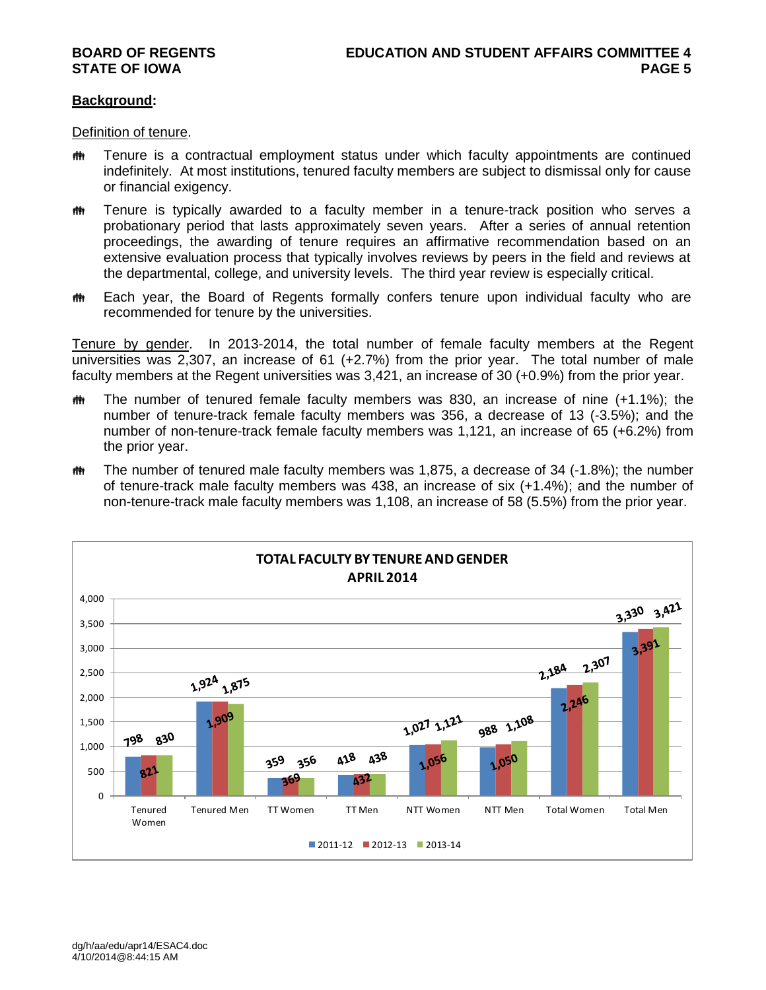# **Background:**

Definition of tenure.

- **##** Tenure is a contractual employment status under which faculty appointments are continued indefinitely. At most institutions, tenured faculty members are subject to dismissal only for cause or financial exigency.
- **##** Tenure is typically awarded to a faculty member in a tenure-track position who serves a probationary period that lasts approximately seven years. After a series of annual retention proceedings, the awarding of tenure requires an affirmative recommendation based on an extensive evaluation process that typically involves reviews by peers in the field and reviews at the departmental, college, and university levels. The third year review is especially critical.
- **##** Each year, the Board of Regents formally confers tenure upon individual faculty who are recommended for tenure by the universities.

Tenure by gender. In 2013-2014, the total number of female faculty members at the Regent universities was 2,307, an increase of 61 (+2.7%) from the prior year. The total number of male faculty members at the Regent universities was 3,421, an increase of 30 (+0.9%) from the prior year.

- $\ddot{\mathbf{m}}$  The number of tenured female faculty members was 830, an increase of nine (+1.1%); the number of tenure-track female faculty members was 356, a decrease of 13 (-3.5%); and the number of non-tenure-track female faculty members was 1,121, an increase of 65 (+6.2%) from the prior year.
- $m$  The number of tenured male faculty members was 1,875, a decrease of 34 (-1.8%); the number of tenure-track male faculty members was 438, an increase of six (+1.4%); and the number of non-tenure-track male faculty members was 1,108, an increase of 58 (5.5%) from the prior year.

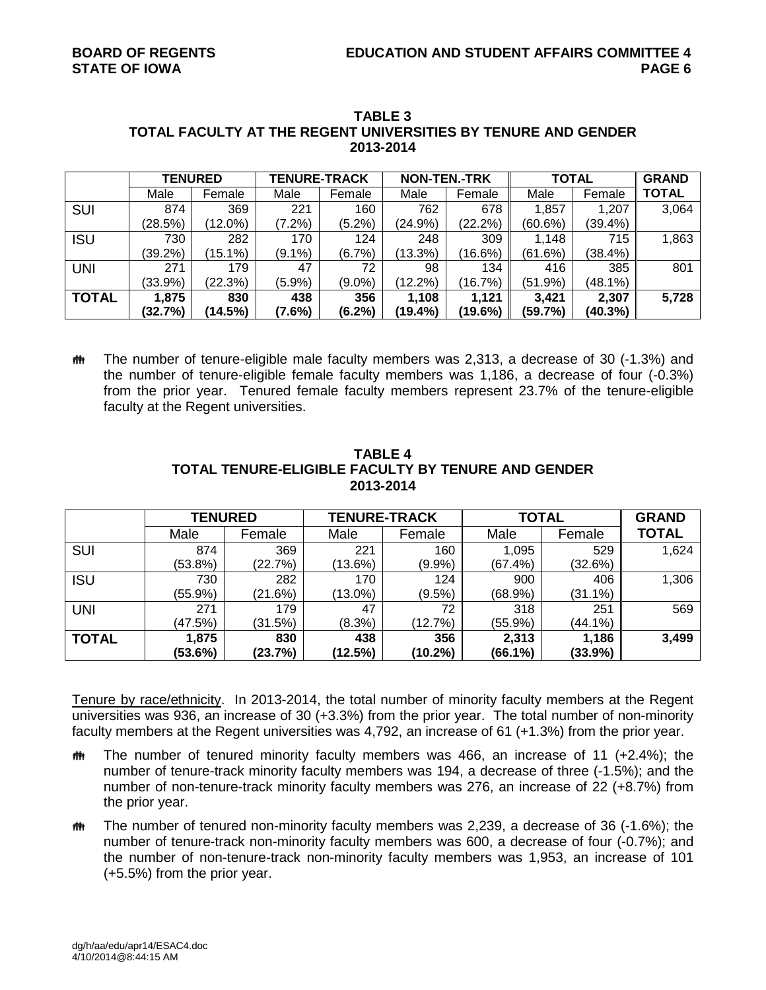|              | <b>TENURED</b> |            | <b>TENURE-TRACK</b> |           | <b>NON-TEN.-TRK</b> |            | <b>TOTAL</b> |         | <b>GRAND</b> |
|--------------|----------------|------------|---------------------|-----------|---------------------|------------|--------------|---------|--------------|
|              | Male           | Female     | Male                | Female    | Male                | Female     | Male         | Female  | <b>TOTAL</b> |
| <b>SUI</b>   | 874            | 369        | 221                 | 160       | 762                 | 678        | 1,857        | 1,207   | 3,064        |
|              | (28.5%)        | (12.0%)    | $(7.2\%)$           | $(5.2\%)$ | (24.9%)             | $(22.2\%)$ | (60.6%)      | (39.4%) |              |
| <b>ISU</b>   | 730            | 282        | 170                 | 124       | 248                 | 309        | 1,148        | 715     | 1,863        |
|              | (39.2%)        | $(15.1\%)$ | $(9.1\%)$           | (6.7%)    | (13.3%)             | (16.6%)    | (61.6%)      | (38.4%) |              |
| <b>UNI</b>   | 271            | 179        | 47                  | 72        | 98                  | 134        | 416          | 385     | 801          |
|              | $(33.9\%)$     | (22.3%)    | (5.9%)              | $(9.0\%)$ | $(12.2\%)$          | (16.7%)    | (51.9%)      | (48.1%) |              |
| <b>TOTAL</b> | 1,875          | 830        | 438                 | 356       | 1.108               | 1,121      | 3.421        | 2,307   | 5,728        |
|              | (32.7%)        | (14.5%)    | (7.6%)              | $(6.2\%)$ | (19.4%)             | (19.6%)    | (59.7%)      | (40.3%) |              |

### **TABLE 3 TOTAL FACULTY AT THE REGENT UNIVERSITIES BY TENURE AND GENDER 2013-2014**

 The number of tenure-eligible male faculty members was 2,313, a decrease of 30 (-1.3%) and the number of tenure-eligible female faculty members was 1,186, a decrease of four (-0.3%) from the prior year. Tenured female faculty members represent 23.7% of the tenure-eligible faculty at the Regent universities.

|              | <b>TENURED</b> |         | <b>TENURE-TRACK</b> |            | <b>TOTAL</b> | <b>GRAND</b> |              |
|--------------|----------------|---------|---------------------|------------|--------------|--------------|--------------|
|              | Male           | Female  | Male                | Female     | Male         | Female       | <b>TOTAL</b> |
| <b>SUI</b>   | 874            | 369     | 221                 | 160        | 1,095        | 529          | 1,624        |
|              | $(53.8\%)$     | (22.7%) | (13.6%)             | $(9.9\%)$  | (67.4%)      | (32.6%)      |              |
| <b>ISU</b>   | 730            | 282     | 170                 | 124        | 900          | 406          | 1,306        |
|              | $(55.9\%)$     | (21.6%) | $(13.0\%)$          | $(9.5\%)$  | (68.9%)      | $(31.1\%)$   |              |
| <b>UNI</b>   | 271            | 179     | 47                  | 72         | 318          | 251          | 569          |
|              | (47.5%)        | (31.5%) | (8.3%)              | (12.7%)    | $(55.9\%)$   | $(44.1\%)$   |              |
| <b>TOTAL</b> | 1,875          | 830     | 438                 | 356        | 2,313        | 1,186        | 3,499        |
|              | (53.6%)        | (23.7%) | (12.5%)             | $(10.2\%)$ | $(66.1\%)$   | (33.9%)      |              |

# **TABLE 4 TOTAL TENURE-ELIGIBLE FACULTY BY TENURE AND GENDER 2013-2014**

Tenure by race/ethnicity. In 2013-2014, the total number of minority faculty members at the Regent universities was 936, an increase of 30 (+3.3%) from the prior year. The total number of non-minority faculty members at the Regent universities was 4,792, an increase of 61 (+1.3%) from the prior year.

- $m$  The number of tenured minority faculty members was 466, an increase of 11 (+2.4%); the number of tenure-track minority faculty members was 194, a decrease of three (-1.5%); and the number of non-tenure-track minority faculty members was 276, an increase of 22 (+8.7%) from the prior year.
- $m$  The number of tenured non-minority faculty members was 2,239, a decrease of 36 (-1.6%); the number of tenure-track non-minority faculty members was 600, a decrease of four (-0.7%); and the number of non-tenure-track non-minority faculty members was 1,953, an increase of 101 (+5.5%) from the prior year.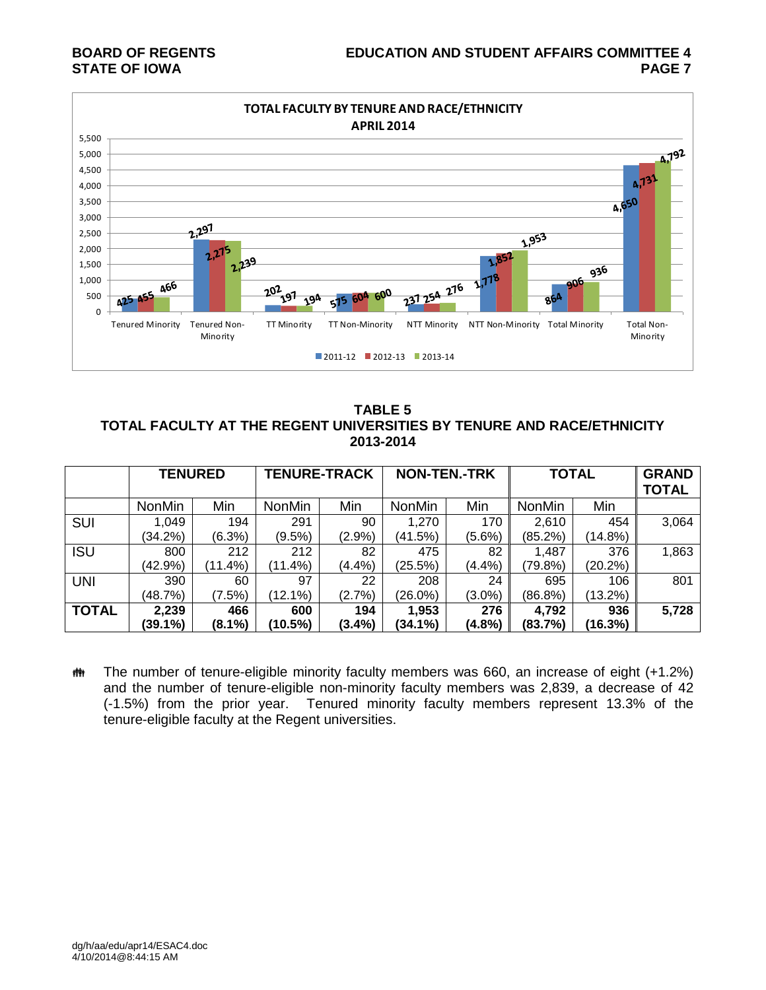# **BOARD OF REGENTS EDUCATION AND STUDENT AFFAIRS COMMITTEE 4 STATE OF IOWA PAGE 7**



**TABLE 5 TOTAL FACULTY AT THE REGENT UNIVERSITIES BY TENURE AND RACE/ETHNICITY 2013-2014**

|              | <b>TENURED</b> |            | <b>TENURE-TRACK</b> |           | <b>NON-TEN.-TRK</b> |           | <b>TOTAL</b>  |            | <b>GRAND</b><br><b>TOTAL</b> |
|--------------|----------------|------------|---------------------|-----------|---------------------|-----------|---------------|------------|------------------------------|
|              | <b>NonMin</b>  | Min        | <b>NonMin</b>       | Min       | <b>NonMin</b>       | Min       | <b>NonMin</b> | Min        |                              |
| SUI          | 1,049          | 194        | 291                 | 90        | 1,270               | 170       | 2,610         | 454        | 3,064                        |
|              | $(34.2\%)$     | (6.3%)     | (9.5%)              | (2.9%     | (41.5%)             | $(5.6\%)$ | (85.2%)       | (14.8%)    |                              |
| <b>ISU</b>   | 800            | 212        | 212                 | 82        | 475                 | 82        | 1,487         | 376        | 1,863                        |
|              | (42.9%)        | $(11.4\%)$ | $(11.4\%)$          | $(4.4\%)$ | (25.5%)             | (4.4%)    | (79.8%)       | (20.2%)    |                              |
| <b>UNI</b>   | 390            | 60         | 97                  | 22        | 208                 | 24        | 695           | 106        | 801                          |
|              | (48.7%)        | (7.5%)     | (12.1%)             | (2.7%)    | (26.0%)             | $(3.0\%)$ | (86.8%)       | $(13.2\%)$ |                              |
| <b>TOTAL</b> | 2,239          | 466        | 600                 | 194       | 1,953               | 276       | 4,792         | 936        | 5,728                        |
|              | (39.1%)        | $(8.1\%)$  | (10.5%)             | $(3.4\%)$ | (34.1%)             | (4.8%)    | (83.7%)       | (16.3%)    |                              |

**##** The number of tenure-eligible minority faculty members was 660, an increase of eight (+1.2%) and the number of tenure-eligible non-minority faculty members was 2,839, a decrease of 42 (-1.5%) from the prior year. Tenured minority faculty members represent 13.3% of the tenure-eligible faculty at the Regent universities.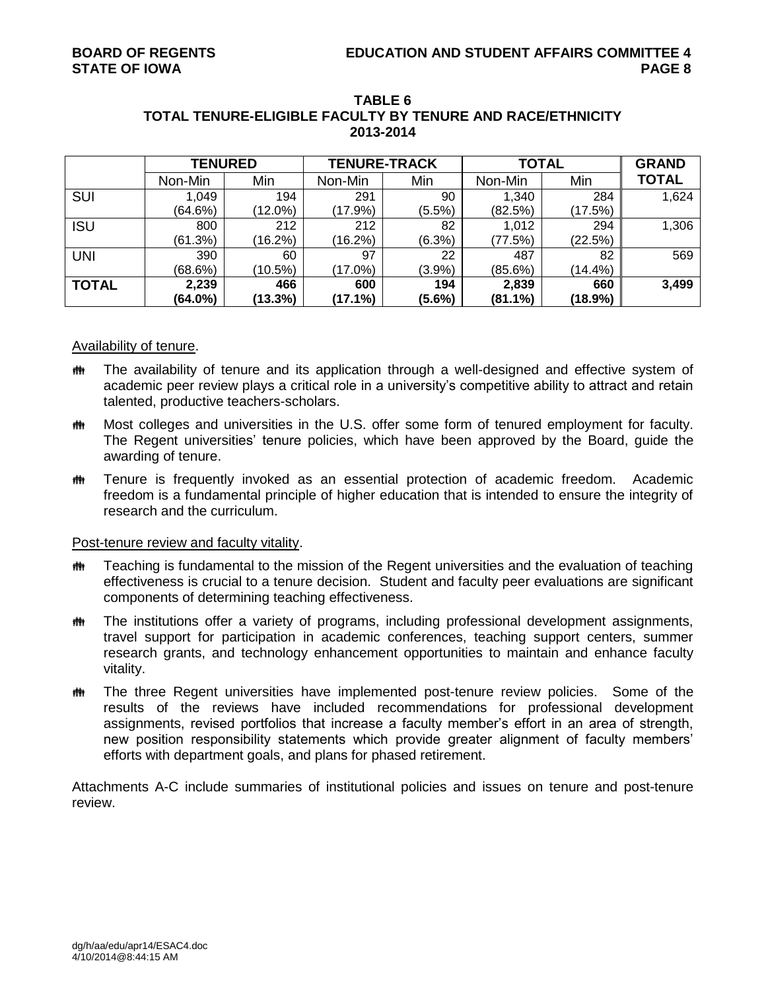|              | <b>TENURED</b> |            | <b>TENURE-TRACK</b> |           | <b>TOTAL</b> | <b>GRAND</b> |              |
|--------------|----------------|------------|---------------------|-----------|--------------|--------------|--------------|
|              | Non-Min        | Min        | Non-Min             | Min       | Non-Min      | Min          | <b>TOTAL</b> |
| <b>SUI</b>   | 1,049          | 194        | 291                 | 90        | 1,340        | 284          | 1,624        |
|              | (64.6%)        | (12.0%)    | $(17.9\%)$          | $(5.5\%)$ | (82.5%)      | (17.5%)      |              |
| <b>ISU</b>   | 800            | 212        | 212                 | 82        | 1,012        | 294          | 1,306        |
|              | (61.3%)        | $(16.2\%)$ | (16.2%)             | (6.3%)    | (77.5%)      | (22.5%)      |              |
| <b>UNI</b>   | 390            | 60         | 97                  | 22        | 487          | 82           | 569          |
|              | (68.6%)        | $(10.5\%)$ | (17.0%)             | (3.9%)    | $(85.6\%)$   | $(14.4\%)$   |              |
| <b>TOTAL</b> | 2,239          | 466        | 600                 | 194       | 2,839        | 660          | 3,499        |
|              | (64.0%)        | (13.3%)    | $(17.1\%)$          | $(5.6\%)$ | $(81.1\%)$   | (18.9%)      |              |

### **TABLE 6 TOTAL TENURE-ELIGIBLE FACULTY BY TENURE AND RACE/ETHNICITY 2013-2014**

# Availability of tenure.

- The availability of tenure and its application through a well-designed and effective system of academic peer review plays a critical role in a university's competitive ability to attract and retain talented, productive teachers-scholars.
- **##** Most colleges and universities in the U.S. offer some form of tenured employment for faculty. The Regent universities' tenure policies, which have been approved by the Board, guide the awarding of tenure.
- **##** Tenure is frequently invoked as an essential protection of academic freedom. Academic freedom is a fundamental principle of higher education that is intended to ensure the integrity of research and the curriculum.

# Post-tenure review and faculty vitality.

- $m$  Teaching is fundamental to the mission of the Regent universities and the evaluation of teaching effectiveness is crucial to a tenure decision. Student and faculty peer evaluations are significant components of determining teaching effectiveness.
- **##** The institutions offer a variety of programs, including professional development assignments, travel support for participation in academic conferences, teaching support centers, summer research grants, and technology enhancement opportunities to maintain and enhance faculty vitality.
- **##** The three Regent universities have implemented post-tenure review policies. Some of the results of the reviews have included recommendations for professional development assignments, revised portfolios that increase a faculty member's effort in an area of strength, new position responsibility statements which provide greater alignment of faculty members' efforts with department goals, and plans for phased retirement.

Attachments A-C include summaries of institutional policies and issues on tenure and post-tenure review.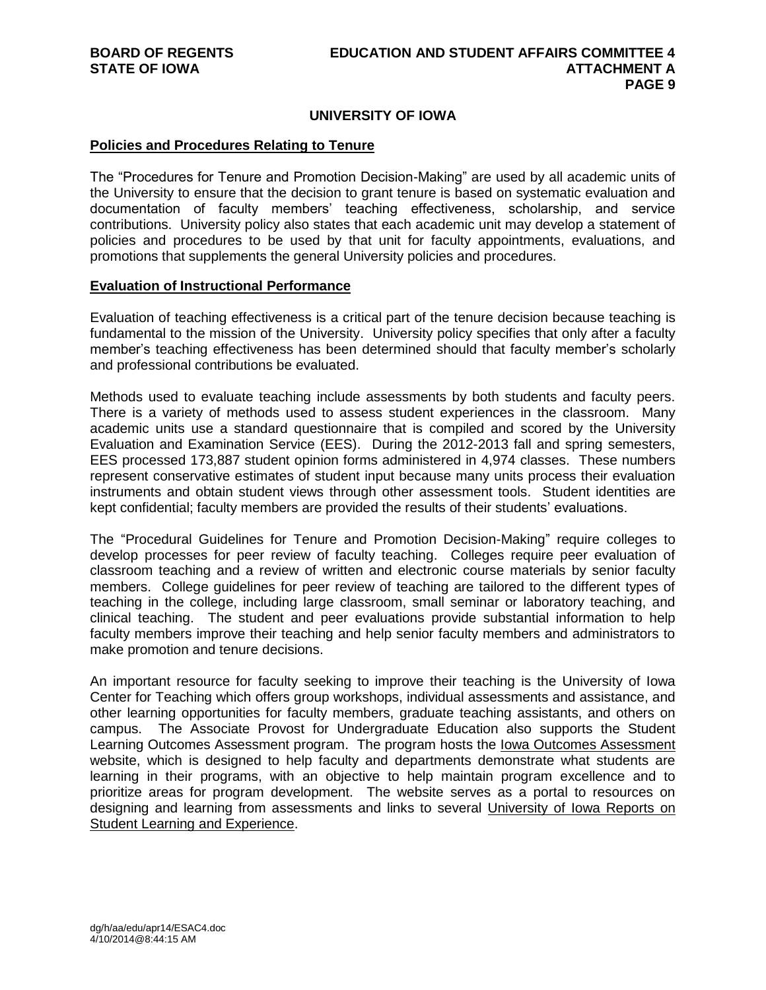# **UNIVERSITY OF IOWA**

#### **Policies and Procedures Relating to Tenure**

The "Procedures for Tenure and Promotion Decision-Making" are used by all academic units of the University to ensure that the decision to grant tenure is based on systematic evaluation and documentation of faculty members' teaching effectiveness, scholarship, and service contributions. University policy also states that each academic unit may develop a statement of policies and procedures to be used by that unit for faculty appointments, evaluations, and promotions that supplements the general University policies and procedures.

### **Evaluation of Instructional Performance**

Evaluation of teaching effectiveness is a critical part of the tenure decision because teaching is fundamental to the mission of the University. University policy specifies that only after a faculty member's teaching effectiveness has been determined should that faculty member's scholarly and professional contributions be evaluated.

Methods used to evaluate teaching include assessments by both students and faculty peers. There is a variety of methods used to assess student experiences in the classroom. Many academic units use a standard questionnaire that is compiled and scored by the University Evaluation and Examination Service (EES). During the 2012-2013 fall and spring semesters, EES processed 173,887 student opinion forms administered in 4,974 classes. These numbers represent conservative estimates of student input because many units process their evaluation instruments and obtain student views through other assessment tools. Student identities are kept confidential; faculty members are provided the results of their students' evaluations.

The "Procedural Guidelines for Tenure and Promotion Decision-Making" require colleges to develop processes for peer review of faculty teaching. Colleges require peer evaluation of classroom teaching and a review of written and electronic course materials by senior faculty members. College guidelines for peer review of teaching are tailored to the different types of teaching in the college, including large classroom, small seminar or laboratory teaching, and clinical teaching. The student and peer evaluations provide substantial information to help faculty members improve their teaching and help senior faculty members and administrators to make promotion and tenure decisions.

An important resource for faculty seeking to improve their teaching is the University of Iowa Center for Teaching which offers group workshops, individual assessments and assistance, and other learning opportunities for faculty members, graduate teaching assistants, and others on campus. The Associate Provost for Undergraduate Education also supports the Student Learning Outcomes Assessment program. The program hosts the Iowa Outcomes Assessment website, which is designed to help faculty and departments demonstrate what students are learning in their programs, with an objective to help maintain program excellence and to prioritize areas for program development. The website serves as a portal to resources on designing and learning from assessments and links to several University of Iowa Reports on Student Learning and Experience.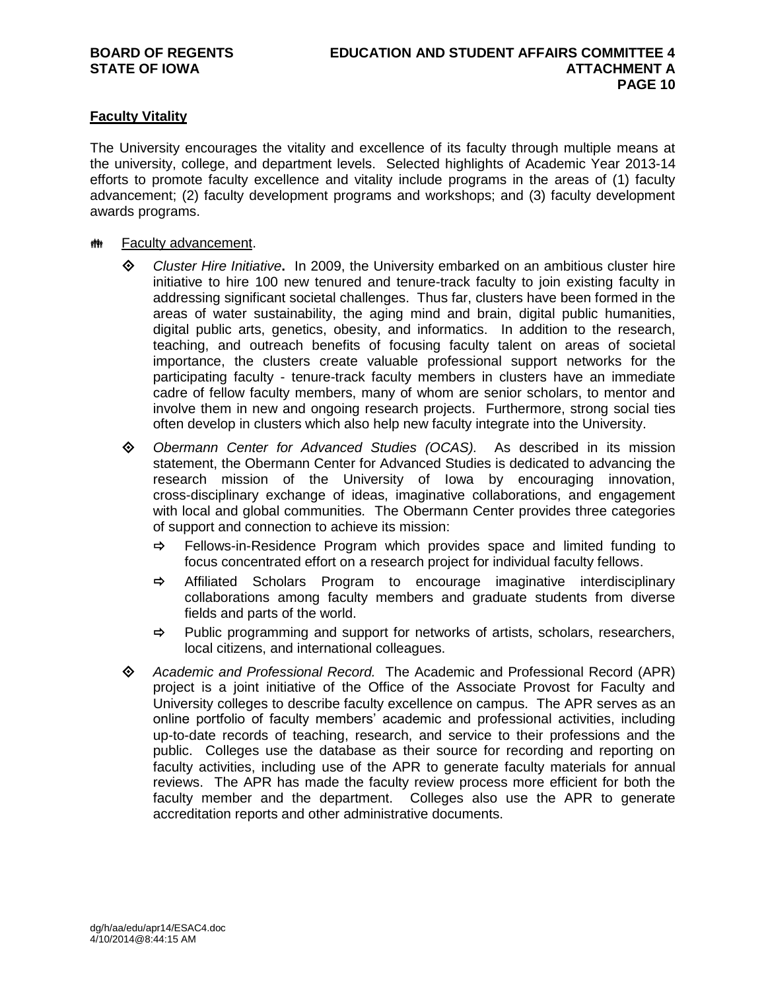# **Faculty Vitality**

The University encourages the vitality and excellence of its faculty through multiple means at the university, college, and department levels. Selected highlights of Academic Year 2013-14 efforts to promote faculty excellence and vitality include programs in the areas of (1) faculty advancement; (2) faculty development programs and workshops; and (3) faculty development awards programs.

# **## Faculty advancement.**

- *Cluster Hire Initiative***.** In 2009, the University embarked on an ambitious cluster hire initiative to hire 100 new tenured and tenure-track faculty to join existing faculty in addressing significant societal challenges. Thus far, clusters have been formed in the areas of water sustainability, the aging mind and brain, digital public humanities, digital public arts, genetics, obesity, and informatics. In addition to the research, teaching, and outreach benefits of focusing faculty talent on areas of societal importance, the clusters create valuable professional support networks for the participating faculty - tenure-track faculty members in clusters have an immediate cadre of fellow faculty members, many of whom are senior scholars, to mentor and involve them in new and ongoing research projects. Furthermore, strong social ties often develop in clusters which also help new faculty integrate into the University.
- *Obermann Center for Advanced Studies (OCAS).* As described in its mission statement, the Obermann Center for Advanced Studies is dedicated to advancing the research mission of the University of Iowa by encouraging innovation, cross-disciplinary exchange of ideas, imaginative collaborations, and engagement with local and global communities. The Obermann Center provides three categories of support and connection to achieve its mission:
	- $\Rightarrow$  Fellows-in-Residence Program which provides space and limited funding to focus concentrated effort on a research project for individual faculty fellows.
	- $\Rightarrow$  Affiliated Scholars Program to encourage imaginative interdisciplinary collaborations among faculty members and graduate students from diverse fields and parts of the world.
	- $\Rightarrow$  Public programming and support for networks of artists, scholars, researchers, local citizens, and international colleagues.
- *Academic and Professional Record.* The Academic and Professional Record (APR) project is a joint initiative of the Office of the Associate Provost for Faculty and University colleges to describe faculty excellence on campus. The APR serves as an online portfolio of faculty members' academic and professional activities, including up-to-date records of teaching, research, and service to their professions and the public. Colleges use the database as their source for recording and reporting on faculty activities, including use of the APR to generate faculty materials for annual reviews. The APR has made the faculty review process more efficient for both the faculty member and the department. Colleges also use the APR to generate accreditation reports and other administrative documents.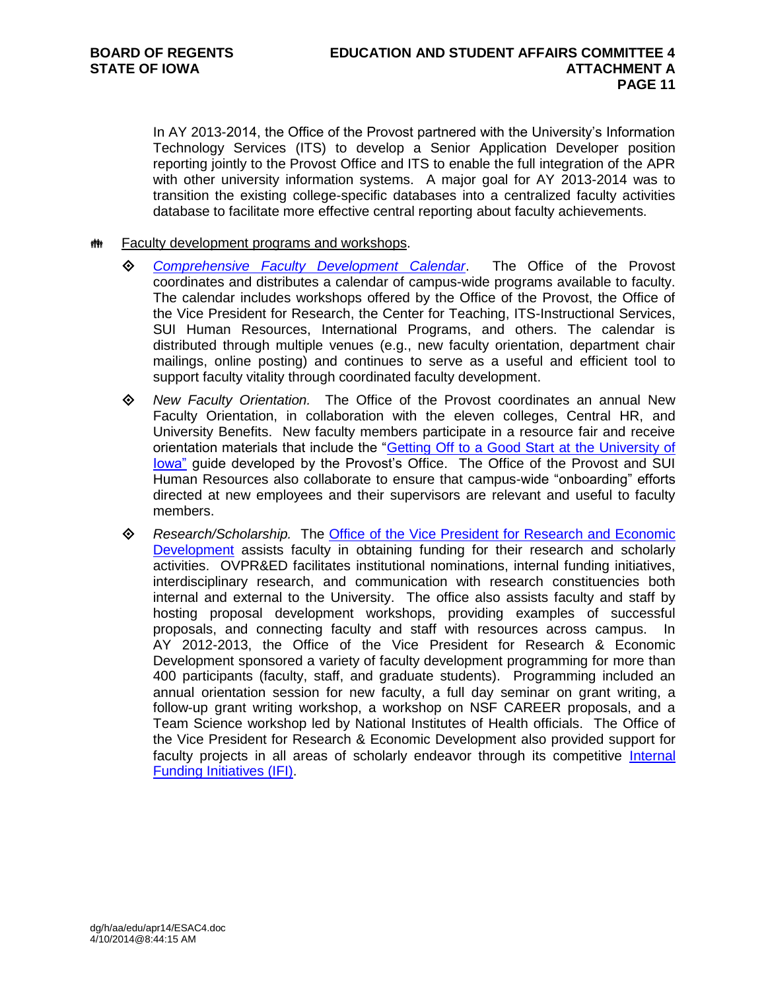In AY 2013-2014, the Office of the Provost partnered with the University's Information Technology Services (ITS) to develop a Senior Application Developer position reporting jointly to the Provost Office and ITS to enable the full integration of the APR with other university information systems. A major goal for AY 2013-2014 was to transition the existing college-specific databases into a centralized faculty activities database to facilitate more effective central reporting about faculty achievements.

- **## Faculty development programs and workshops.** 
	- *[Comprehensive Faculty Development Calendar](http://provost.uiowa.edu/faculty/docs/Calendar.pdf)*. The Office of the Provost coordinates and distributes a calendar of campus-wide programs available to faculty. The calendar includes workshops offered by the Office of the Provost, the Office of the Vice President for Research, the Center for Teaching, ITS-Instructional Services, SUI Human Resources, International Programs, and others. The calendar is distributed through multiple venues (e.g., new faculty orientation, department chair mailings, online posting) and continues to serve as a useful and efficient tool to support faculty vitality through coordinated faculty development.
	- *New Faculty Orientation.* The Office of the Provost coordinates an annual New Faculty Orientation, in collaboration with the eleven colleges, Central HR, and University Benefits. New faculty members participate in a resource fair and receive orientation materials that include the ["Getting Off to a Good Start at the](http://www.provost.uiowa.edu/faculty/docs/GoodStart.pdf) University of [Iowa"](http://www.provost.uiowa.edu/faculty/docs/GoodStart.pdf) guide developed by the Provost's Office. The Office of the Provost and SUI Human Resources also collaborate to ensure that campus-wide "onboarding" efforts directed at new employees and their supervisors are relevant and useful to faculty members.
	- *Research/Scholarship.* The [Office of the Vice President for Research and Economic](http://www.uiowa.edu/vprsearch/)  [Development](http://www.uiowa.edu/vprsearch/) assists faculty in obtaining funding for their research and scholarly activities. OVPR&ED facilitates institutional nominations, internal funding initiatives, interdisciplinary research, and communication with research constituencies both internal and external to the University. The office also assists faculty and staff by hosting proposal development workshops, providing examples of successful proposals, and connecting faculty and staff with resources across campus. In AY 2012-2013, the Office of the Vice President for Research & Economic Development sponsored a variety of faculty development programming for more than 400 participants (faculty, staff, and graduate students). Programming included an annual orientation session for new faculty, a full day seminar on grant writing, a follow-up grant writing workshop, a workshop on NSF CAREER proposals, and a Team Science workshop led by National Institutes of Health officials. The Office of the Vice President for Research & Economic Development also provided support for faculty projects in all areas of scholarly endeavor through its competitive Internal [Funding Initiatives \(IFI\).](https://research.uiowa.edu/ovpr/internal-funding-initiatives-ifi)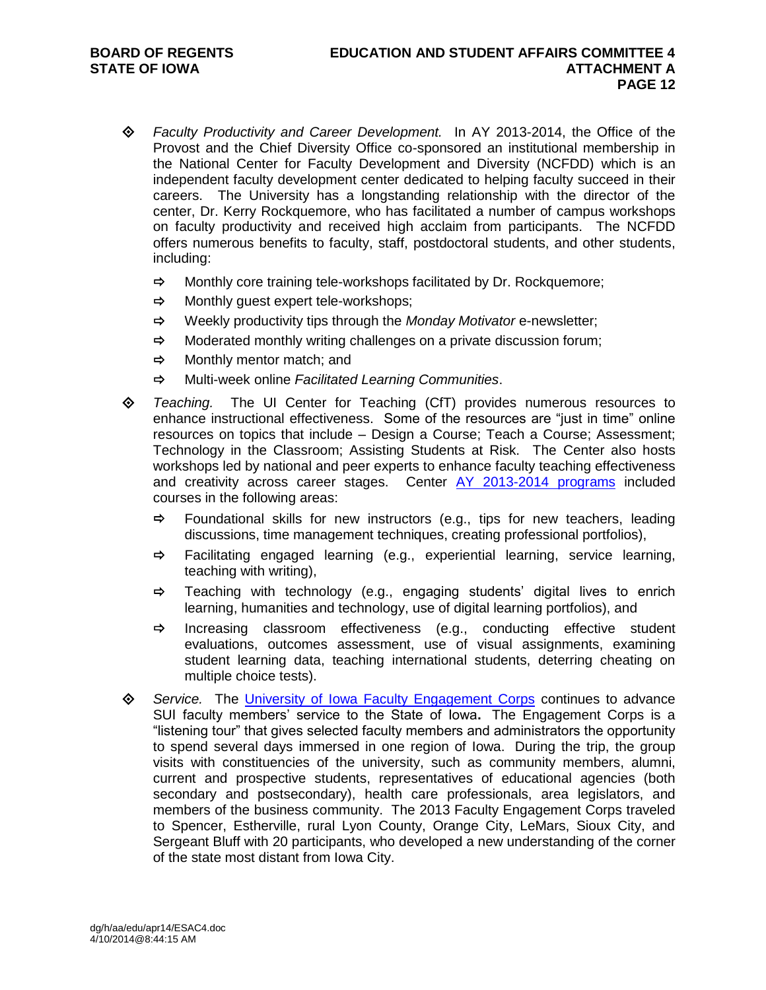- *Faculty Productivity and Career Development.* In AY 2013-2014, the Office of the Provost and the Chief Diversity Office co-sponsored an institutional membership in the National Center for Faculty Development and Diversity (NCFDD) which is an independent faculty development center dedicated to helping faculty succeed in their careers. The University has a longstanding relationship with the director of the center, Dr. Kerry Rockquemore, who has facilitated a number of campus workshops on faculty productivity and received high acclaim from participants. The NCFDD offers numerous benefits to faculty, staff, postdoctoral students, and other students, including:
	- $\Rightarrow$  Monthly core training tele-workshops facilitated by Dr. Rockquemore;
	- $\Rightarrow$  Monthly guest expert tele-workshops;
	- Weekly productivity tips through the *Monday Motivator* e-newsletter;
	- $\Rightarrow$  Moderated monthly writing challenges on a private discussion forum;
	- $\Rightarrow$  Monthly mentor match: and
	- Multi-week online *Facilitated Learning Communities*.
- *Teaching.* The UI Center for Teaching (CfT) provides numerous resources to enhance instructional effectiveness. Some of the resources are "just in time" online resources on topics that include – Design a Course; Teach a Course; Assessment; Technology in the Classroom; Assisting Students at Risk. The Center also hosts workshops led by national and peer experts to enhance faculty teaching effectiveness and creativity across career stages. Center AY [2013-2014](http://centeach.uiowa.edu/poster.shtml) programs included courses in the following areas:
	- $\Rightarrow$  Foundational skills for new instructors (e.g., tips for new teachers, leading discussions, time management techniques, creating professional portfolios),
	- $\Rightarrow$  Facilitating engaged learning (e.g., experiential learning, service learning, teaching with writing),
	- $\Rightarrow$  Teaching with technology (e.g., engaging students' digital lives to enrich learning, humanities and technology, use of digital learning portfolios), and
	- $\Rightarrow$  Increasing classroom effectiveness (e.g., conducting effective student evaluations, outcomes assessment, use of visual assignments, examining student learning data, teaching international students, deterring cheating on multiple choice tests).
- *Service.*The [University of Iowa Faculty Engagement Corps](http://provost.uiowa.edu/faculty/engagementcorps.htm) continues to advance SUI faculty members' service to the State of Iowa**.** The Engagement Corps is a "listening tour" that gives selected faculty members and administrators the opportunity to spend several days immersed in one region of Iowa. During the trip, the group visits with constituencies of the university, such as community members, alumni, current and prospective students, representatives of educational agencies (both secondary and postsecondary), health care professionals, area legislators, and members of the business community. The 2013 Faculty Engagement Corps traveled to Spencer, Estherville, rural Lyon County, Orange City, LeMars, Sioux City, and Sergeant Bluff with 20 participants, who developed a new understanding of the corner of the state most distant from Iowa City.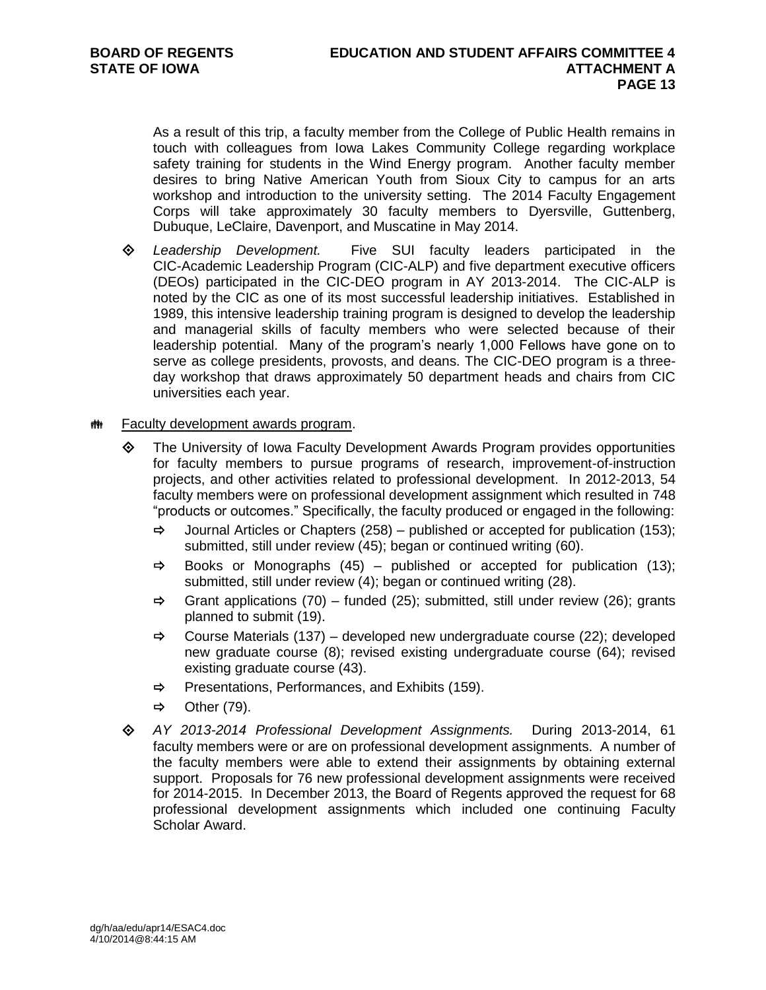As a result of this trip, a faculty member from the College of Public Health remains in touch with colleagues from Iowa Lakes Community College regarding workplace safety training for students in the Wind Energy program. Another faculty member desires to bring Native American Youth from Sioux City to campus for an arts workshop and introduction to the university setting. The 2014 Faculty Engagement Corps will take approximately 30 faculty members to Dyersville, Guttenberg, Dubuque, LeClaire, Davenport, and Muscatine in May 2014.

 *Leadership Development.* Five SUI faculty leaders participated in the CIC-Academic Leadership Program (CIC-ALP) and five department executive officers (DEOs) participated in the CIC-DEO program in AY 2013-2014. The CIC-ALP is noted by the CIC as one of its most successful leadership initiatives. Established in 1989, this intensive leadership training program is designed to develop the leadership and managerial skills of faculty members who were selected because of their leadership potential. Many of the program's nearly 1,000 Fellows have gone on to serve as college presidents, provosts, and deans. The CIC-DEO program is a threeday workshop that draws approximately 50 department heads and chairs from CIC universities each year.

# **## Faculty development awards program.**

- The University of Iowa Faculty Development Awards Program provides opportunities for faculty members to pursue programs of research, improvement-of-instruction projects, and other activities related to professional development. In 2012-2013, 54 faculty members were on professional development assignment which resulted in 748 "products or outcomes." Specifically, the faculty produced or engaged in the following:
	- $\Rightarrow$  Journal Articles or Chapters (258) published or accepted for publication (153); submitted, still under review (45); began or continued writing (60).
	- $\Rightarrow$  Books or Monographs (45) published or accepted for publication (13); submitted, still under review (4); began or continued writing (28).
	- $\Rightarrow$  Grant applications (70) funded (25); submitted, still under review (26); grants planned to submit (19).
	- $\Rightarrow$  Course Materials (137) developed new undergraduate course (22); developed new graduate course (8); revised existing undergraduate course (64); revised existing graduate course (43).
	- $\Rightarrow$  Presentations, Performances, and Exhibits (159).
	- $\Rightarrow$  Other (79).
- *AY 2013-2014 Professional Development Assignments.*During 2013-2014, 61 faculty members were or are on professional development assignments. A number of the faculty members were able to extend their assignments by obtaining external support. Proposals for 76 new professional development assignments were received for 2014-2015. In December 2013, the Board of Regents approved the request for 68 professional development assignments which included one continuing Faculty Scholar Award.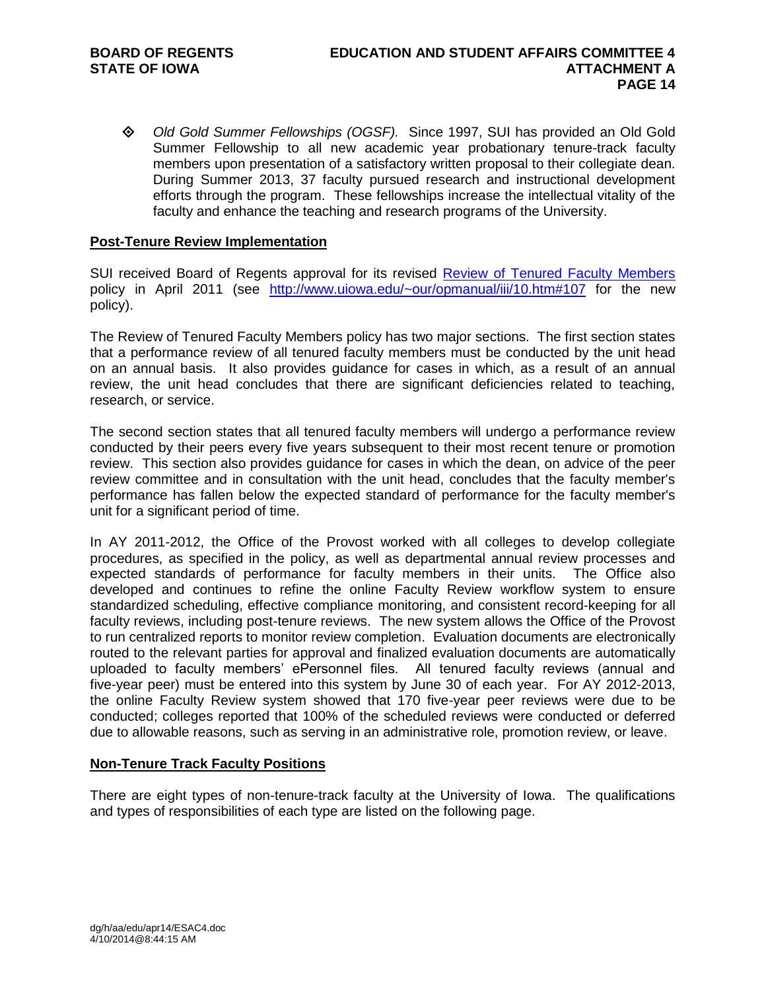*Old Gold Summer Fellowships (OGSF).*Since 1997, SUI has provided an Old Gold Summer Fellowship to all new academic year probationary tenure-track faculty members upon presentation of a satisfactory written proposal to their collegiate dean. During Summer 2013, 37 faculty pursued research and instructional development efforts through the program. These fellowships increase the intellectual vitality of the faculty and enhance the teaching and research programs of the University.

# **Post-Tenure Review Implementation**

SUI received Board of Regents approval for its revised [Review of Tenured Faculty Members](http://www.uiowa.edu/~our/opmanual/iii/10.htm#107) policy in April 2011 (see <http://www.uiowa.edu/~our/opmanual/iii/10.htm#107> for the new policy).

The Review of Tenured Faculty Members policy has two major sections. The first section states that a performance review of all tenured faculty members must be conducted by the unit head on an annual basis. It also provides guidance for cases in which, as a result of an annual review, the unit head concludes that there are significant deficiencies related to teaching, research, or service.

The second section states that all tenured faculty members will undergo a performance review conducted by their peers every five years subsequent to their most recent tenure or promotion review. This section also provides guidance for cases in which the dean, on advice of the peer review committee and in consultation with the unit head, concludes that the faculty member's performance has fallen below the expected standard of performance for the faculty member's unit for a significant period of time.

In AY 2011-2012, the Office of the Provost worked with all colleges to develop collegiate procedures, as specified in the policy, as well as departmental annual review processes and expected standards of performance for faculty members in their units. The Office also developed and continues to refine the online Faculty Review workflow system to ensure standardized scheduling, effective compliance monitoring, and consistent record-keeping for all faculty reviews, including post-tenure reviews. The new system allows the Office of the Provost to run centralized reports to monitor review completion. Evaluation documents are electronically routed to the relevant parties for approval and finalized evaluation documents are automatically uploaded to faculty members' ePersonnel files. All tenured faculty reviews (annual and five-year peer) must be entered into this system by June 30 of each year. For AY 2012-2013, the online Faculty Review system showed that 170 five-year peer reviews were due to be conducted; colleges reported that 100% of the scheduled reviews were conducted or deferred due to allowable reasons, such as serving in an administrative role, promotion review, or leave.

# **Non-Tenure Track Faculty Positions**

There are eight types of non-tenure-track faculty at the University of Iowa. The qualifications and types of responsibilities of each type are listed on the following page.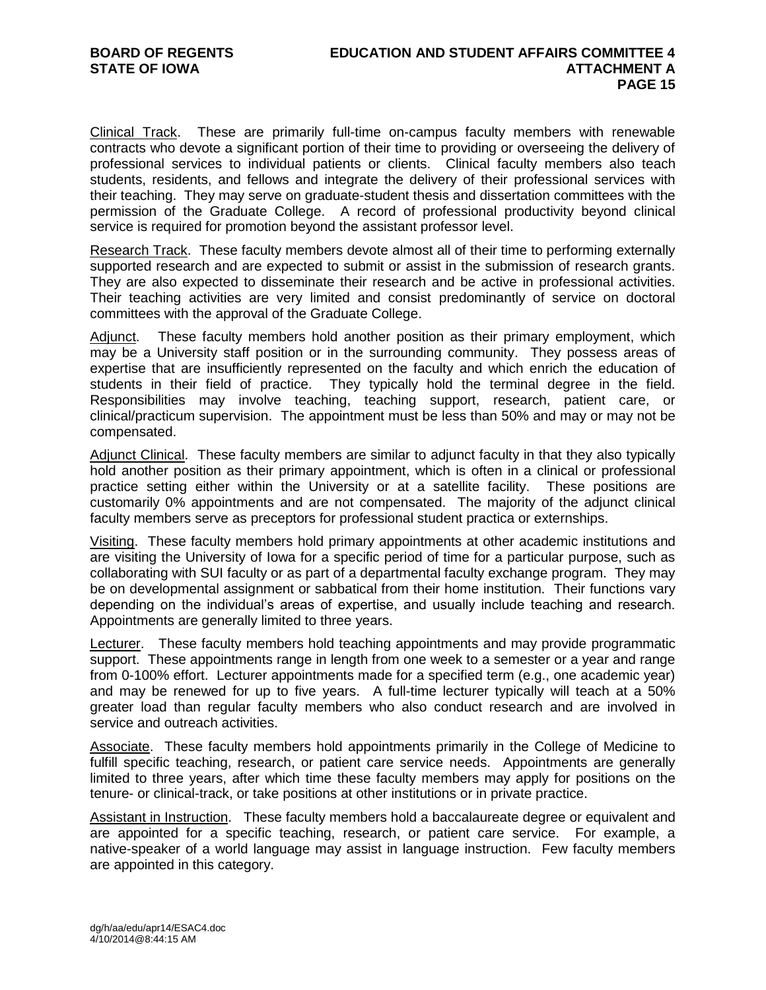Clinical Track. These are primarily full-time on-campus faculty members with renewable contracts who devote a significant portion of their time to providing or overseeing the delivery of professional services to individual patients or clients. Clinical faculty members also teach students, residents, and fellows and integrate the delivery of their professional services with their teaching. They may serve on graduate-student thesis and dissertation committees with the permission of the Graduate College. A record of professional productivity beyond clinical service is required for promotion beyond the assistant professor level.

Research Track. These faculty members devote almost all of their time to performing externally supported research and are expected to submit or assist in the submission of research grants. They are also expected to disseminate their research and be active in professional activities. Their teaching activities are very limited and consist predominantly of service on doctoral committees with the approval of the Graduate College.

Adjunct. These faculty members hold another position as their primary employment, which may be a University staff position or in the surrounding community. They possess areas of expertise that are insufficiently represented on the faculty and which enrich the education of students in their field of practice. They typically hold the terminal degree in the field. Responsibilities may involve teaching, teaching support, research, patient care, or clinical/practicum supervision. The appointment must be less than 50% and may or may not be compensated.

Adjunct Clinical. These faculty members are similar to adjunct faculty in that they also typically hold another position as their primary appointment, which is often in a clinical or professional practice setting either within the University or at a satellite facility. These positions are customarily 0% appointments and are not compensated. The majority of the adjunct clinical faculty members serve as preceptors for professional student practica or externships.

Visiting. These faculty members hold primary appointments at other academic institutions and are visiting the University of Iowa for a specific period of time for a particular purpose, such as collaborating with SUI faculty or as part of a departmental faculty exchange program. They may be on developmental assignment or sabbatical from their home institution. Their functions vary depending on the individual's areas of expertise, and usually include teaching and research. Appointments are generally limited to three years.

Lecturer. These faculty members hold teaching appointments and may provide programmatic support. These appointments range in length from one week to a semester or a year and range from 0-100% effort. Lecturer appointments made for a specified term (e.g., one academic year) and may be renewed for up to five years. A full-time lecturer typically will teach at a 50% greater load than regular faculty members who also conduct research and are involved in service and outreach activities.

Associate. These faculty members hold appointments primarily in the College of Medicine to fulfill specific teaching, research, or patient care service needs. Appointments are generally limited to three years, after which time these faculty members may apply for positions on the tenure- or clinical-track, or take positions at other institutions or in private practice.

Assistant in Instruction. These faculty members hold a baccalaureate degree or equivalent and are appointed for a specific teaching, research, or patient care service. For example, a native-speaker of a world language may assist in language instruction. Few faculty members are appointed in this category.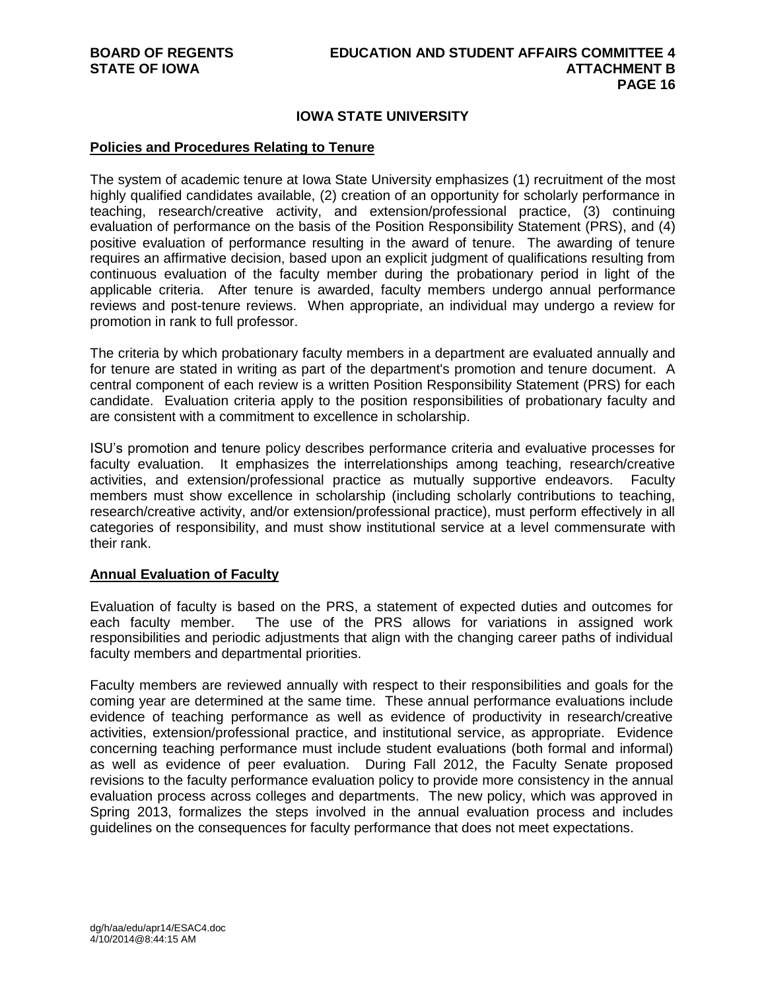# **IOWA STATE UNIVERSITY**

## **Policies and Procedures Relating to Tenure**

The system of academic tenure at Iowa State University emphasizes (1) recruitment of the most highly qualified candidates available, (2) creation of an opportunity for scholarly performance in teaching, research/creative activity, and extension/professional practice, (3) continuing evaluation of performance on the basis of the Position Responsibility Statement (PRS), and (4) positive evaluation of performance resulting in the award of tenure. The awarding of tenure requires an affirmative decision, based upon an explicit judgment of qualifications resulting from continuous evaluation of the faculty member during the probationary period in light of the applicable criteria. After tenure is awarded, faculty members undergo annual performance reviews and post-tenure reviews. When appropriate, an individual may undergo a review for promotion in rank to full professor.

The criteria by which probationary faculty members in a department are evaluated annually and for tenure are stated in writing as part of the department's promotion and tenure document. A central component of each review is a written Position Responsibility Statement (PRS) for each candidate. Evaluation criteria apply to the position responsibilities of probationary faculty and are consistent with a commitment to excellence in scholarship.

ISU's promotion and tenure policy describes performance criteria and evaluative processes for faculty evaluation. It emphasizes the interrelationships among teaching, research/creative activities, and extension/professional practice as mutually supportive endeavors. Faculty members must show excellence in scholarship (including scholarly contributions to teaching, research/creative activity, and/or extension/professional practice), must perform effectively in all categories of responsibility, and must show institutional service at a level commensurate with their rank.

# **Annual Evaluation of Faculty**

Evaluation of faculty is based on the PRS, a statement of expected duties and outcomes for each faculty member. The use of the PRS allows for variations in assigned work responsibilities and periodic adjustments that align with the changing career paths of individual faculty members and departmental priorities.

Faculty members are reviewed annually with respect to their responsibilities and goals for the coming year are determined at the same time. These annual performance evaluations include evidence of teaching performance as well as evidence of productivity in research/creative activities, extension/professional practice, and institutional service, as appropriate. Evidence concerning teaching performance must include student evaluations (both formal and informal) as well as evidence of peer evaluation. During Fall 2012, the Faculty Senate proposed revisions to the faculty performance evaluation policy to provide more consistency in the annual evaluation process across colleges and departments. The new policy, which was approved in Spring 2013, formalizes the steps involved in the annual evaluation process and includes guidelines on the consequences for faculty performance that does not meet expectations.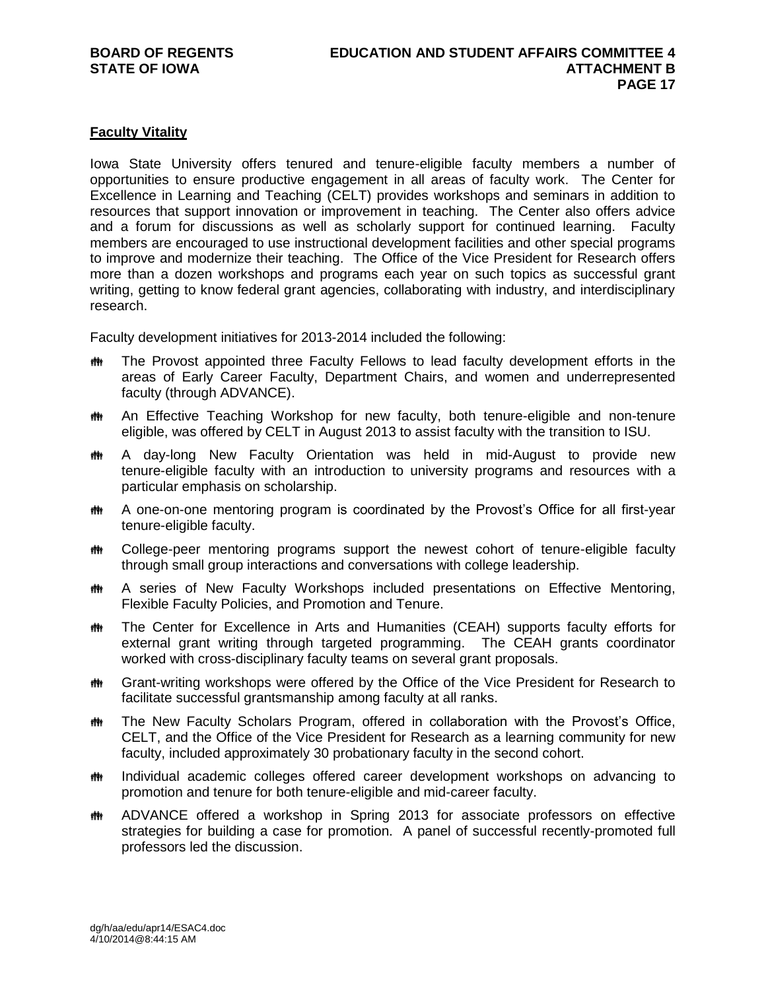# **Faculty Vitality**

Iowa State University offers tenured and tenure-eligible faculty members a number of opportunities to ensure productive engagement in all areas of faculty work. The Center for Excellence in Learning and Teaching (CELT) provides workshops and seminars in addition to resources that support innovation or improvement in teaching. The Center also offers advice and a forum for discussions as well as scholarly support for continued learning. Faculty members are encouraged to use instructional development facilities and other special programs to improve and modernize their teaching. The Office of the Vice President for Research offers more than a dozen workshops and programs each year on such topics as successful grant writing, getting to know federal grant agencies, collaborating with industry, and interdisciplinary research.

Faculty development initiatives for 2013-2014 included the following:

- **##** The Provost appointed three Faculty Fellows to lead faculty development efforts in the areas of Early Career Faculty, Department Chairs, and women and underrepresented faculty (through ADVANCE).
- **##** An Effective Teaching Workshop for new faculty, both tenure-eligible and non-tenure eligible, was offered by CELT in August 2013 to assist faculty with the transition to ISU.
- A day-long New Faculty Orientation was held in mid-August to provide new tenure-eligible faculty with an introduction to university programs and resources with a particular emphasis on scholarship.
- **##** A one-on-one mentoring program is coordinated by the Provost's Office for all first-year tenure-eligible faculty.
- **#\*\*** College-peer mentoring programs support the newest cohort of tenure-eligible faculty through small group interactions and conversations with college leadership.
- **##** A series of New Faculty Workshops included presentations on Effective Mentoring, Flexible Faculty Policies, and Promotion and Tenure.
- **##** The Center for Excellence in Arts and Humanities (CEAH) supports faculty efforts for external grant writing through targeted programming. The CEAH grants coordinator worked with cross-disciplinary faculty teams on several grant proposals.
- Grant-writing workshops were offered by the Office of the Vice President for Research to facilitate successful grantsmanship among faculty at all ranks.
- **##** The New Faculty Scholars Program, offered in collaboration with the Provost's Office, CELT, and the Office of the Vice President for Research as a learning community for new faculty, included approximately 30 probationary faculty in the second cohort.
- **# Individual academic colleges offered career development workshops on advancing to** promotion and tenure for both tenure-eligible and mid-career faculty.
- **##** ADVANCE offered a workshop in Spring 2013 for associate professors on effective strategies for building a case for promotion. A panel of successful recently-promoted full professors led the discussion.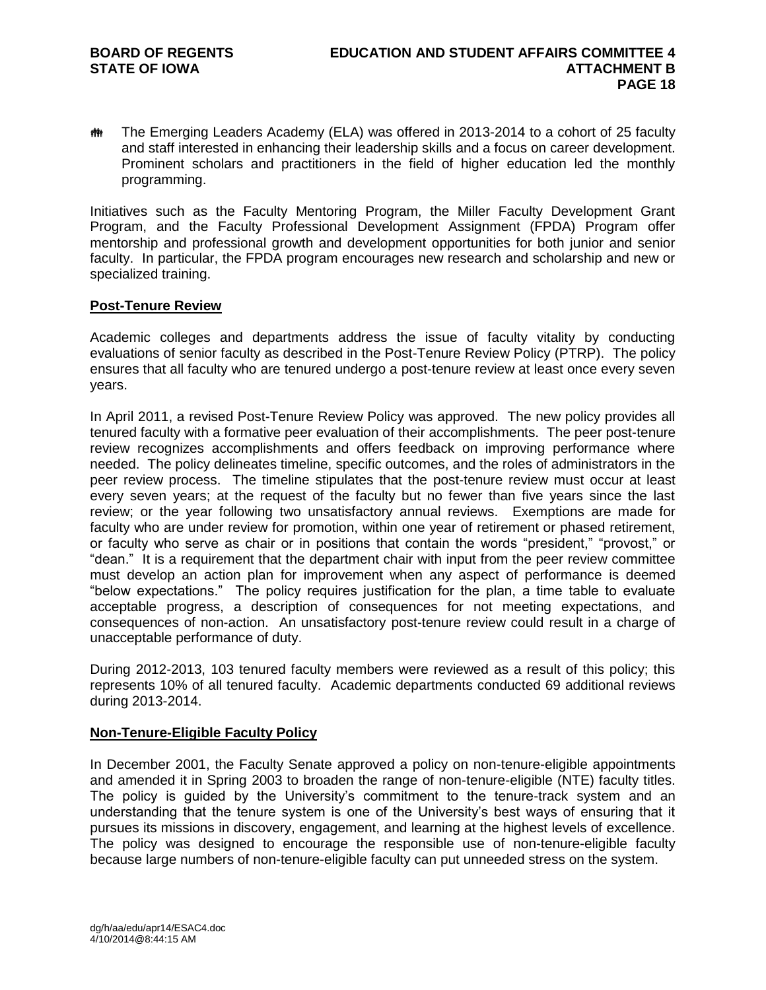The Emerging Leaders Academy (ELA) was offered in 2013-2014 to a cohort of 25 faculty and staff interested in enhancing their leadership skills and a focus on career development. Prominent scholars and practitioners in the field of higher education led the monthly programming.

Initiatives such as the Faculty Mentoring Program, the Miller Faculty Development Grant Program, and the Faculty Professional Development Assignment (FPDA) Program offer mentorship and professional growth and development opportunities for both junior and senior faculty. In particular, the FPDA program encourages new research and scholarship and new or specialized training.

# **Post-Tenure Review**

Academic colleges and departments address the issue of faculty vitality by conducting evaluations of senior faculty as described in the Post-Tenure Review Policy (PTRP). The policy ensures that all faculty who are tenured undergo a post-tenure review at least once every seven years.

In April 2011, a revised Post-Tenure Review Policy was approved. The new policy provides all tenured faculty with a formative peer evaluation of their accomplishments. The peer post-tenure review recognizes accomplishments and offers feedback on improving performance where needed. The policy delineates timeline, specific outcomes, and the roles of administrators in the peer review process. The timeline stipulates that the post-tenure review must occur at least every seven years; at the request of the faculty but no fewer than five years since the last review; or the year following two unsatisfactory annual reviews. Exemptions are made for faculty who are under review for promotion, within one year of retirement or phased retirement, or faculty who serve as chair or in positions that contain the words "president," "provost," or "dean." It is a requirement that the department chair with input from the peer review committee must develop an action plan for improvement when any aspect of performance is deemed "below expectations." The policy requires justification for the plan, a time table to evaluate acceptable progress, a description of consequences for not meeting expectations, and consequences of non-action. An unsatisfactory post-tenure review could result in a charge of unacceptable performance of duty.

During 2012-2013, 103 tenured faculty members were reviewed as a result of this policy; this represents 10% of all tenured faculty. Academic departments conducted 69 additional reviews during 2013-2014.

# **Non-Tenure-Eligible Faculty Policy**

In December 2001, the Faculty Senate approved a policy on non-tenure-eligible appointments and amended it in Spring 2003 to broaden the range of non-tenure-eligible (NTE) faculty titles. The policy is guided by the University's commitment to the tenure-track system and an understanding that the tenure system is one of the University's best ways of ensuring that it pursues its missions in discovery, engagement, and learning at the highest levels of excellence. The policy was designed to encourage the responsible use of non-tenure-eligible faculty because large numbers of non-tenure-eligible faculty can put unneeded stress on the system.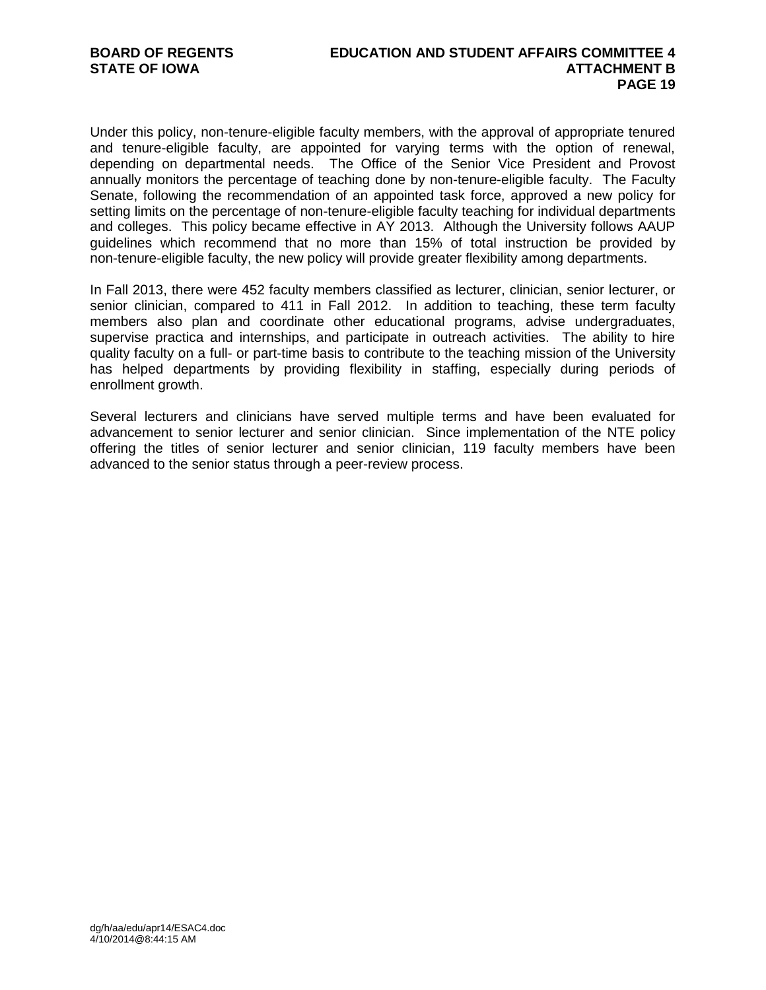Under this policy, non-tenure-eligible faculty members, with the approval of appropriate tenured and tenure-eligible faculty, are appointed for varying terms with the option of renewal, depending on departmental needs. The Office of the Senior Vice President and Provost annually monitors the percentage of teaching done by non-tenure-eligible faculty. The Faculty Senate, following the recommendation of an appointed task force, approved a new policy for setting limits on the percentage of non-tenure-eligible faculty teaching for individual departments and colleges. This policy became effective in AY 2013. Although the University follows AAUP guidelines which recommend that no more than 15% of total instruction be provided by non-tenure-eligible faculty, the new policy will provide greater flexibility among departments.

In Fall 2013, there were 452 faculty members classified as lecturer, clinician, senior lecturer, or senior clinician, compared to 411 in Fall 2012. In addition to teaching, these term faculty members also plan and coordinate other educational programs, advise undergraduates, supervise practica and internships, and participate in outreach activities. The ability to hire quality faculty on a full- or part-time basis to contribute to the teaching mission of the University has helped departments by providing flexibility in staffing, especially during periods of enrollment growth.

Several lecturers and clinicians have served multiple terms and have been evaluated for advancement to senior lecturer and senior clinician. Since implementation of the NTE policy offering the titles of senior lecturer and senior clinician, 119 faculty members have been advanced to the senior status through a peer-review process.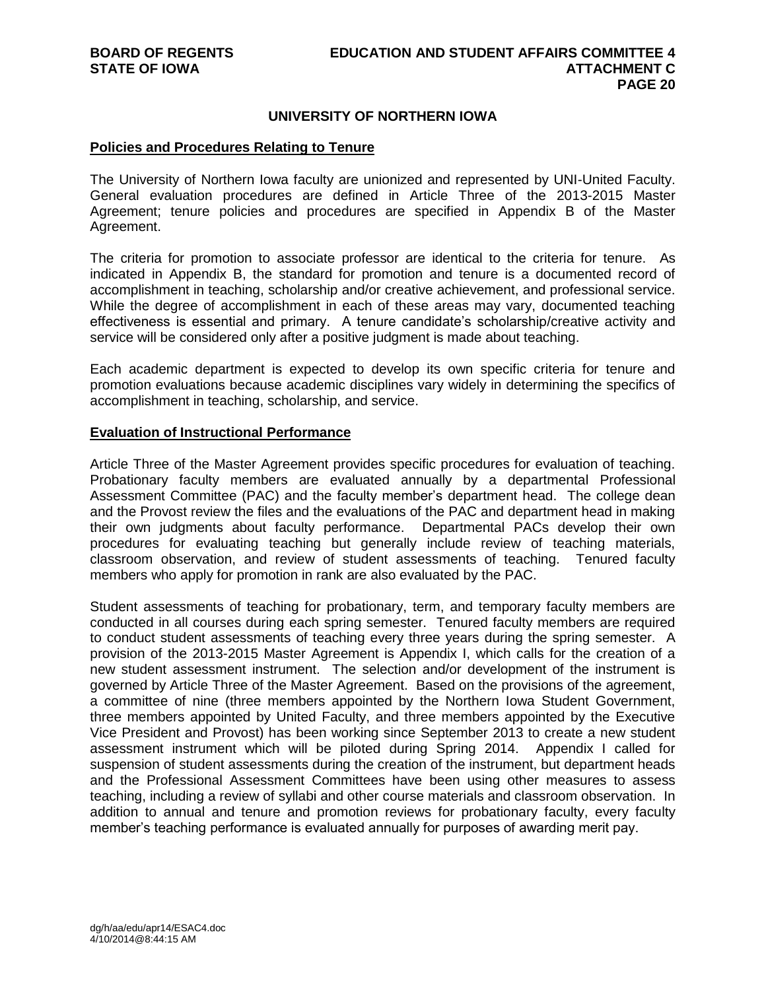# **UNIVERSITY OF NORTHERN IOWA**

## **Policies and Procedures Relating to Tenure**

The University of Northern Iowa faculty are unionized and represented by UNI-United Faculty. General evaluation procedures are defined in Article Three of the 2013-2015 Master Agreement; tenure policies and procedures are specified in Appendix B of the Master Agreement.

The criteria for promotion to associate professor are identical to the criteria for tenure. As indicated in Appendix B, the standard for promotion and tenure is a documented record of accomplishment in teaching, scholarship and/or creative achievement, and professional service. While the degree of accomplishment in each of these areas may vary, documented teaching effectiveness is essential and primary. A tenure candidate's scholarship/creative activity and service will be considered only after a positive judgment is made about teaching.

Each academic department is expected to develop its own specific criteria for tenure and promotion evaluations because academic disciplines vary widely in determining the specifics of accomplishment in teaching, scholarship, and service.

### **Evaluation of Instructional Performance**

Article Three of the Master Agreement provides specific procedures for evaluation of teaching. Probationary faculty members are evaluated annually by a departmental Professional Assessment Committee (PAC) and the faculty member's department head. The college dean and the Provost review the files and the evaluations of the PAC and department head in making their own judgments about faculty performance. Departmental PACs develop their own procedures for evaluating teaching but generally include review of teaching materials, classroom observation, and review of student assessments of teaching. Tenured faculty members who apply for promotion in rank are also evaluated by the PAC.

Student assessments of teaching for probationary, term, and temporary faculty members are conducted in all courses during each spring semester. Tenured faculty members are required to conduct student assessments of teaching every three years during the spring semester. A provision of the 2013-2015 Master Agreement is Appendix I, which calls for the creation of a new student assessment instrument. The selection and/or development of the instrument is governed by Article Three of the Master Agreement. Based on the provisions of the agreement, a committee of nine (three members appointed by the Northern Iowa Student Government, three members appointed by United Faculty, and three members appointed by the Executive Vice President and Provost) has been working since September 2013 to create a new student assessment instrument which will be piloted during Spring 2014. Appendix I called for suspension of student assessments during the creation of the instrument, but department heads and the Professional Assessment Committees have been using other measures to assess teaching, including a review of syllabi and other course materials and classroom observation. In addition to annual and tenure and promotion reviews for probationary faculty, every faculty member's teaching performance is evaluated annually for purposes of awarding merit pay.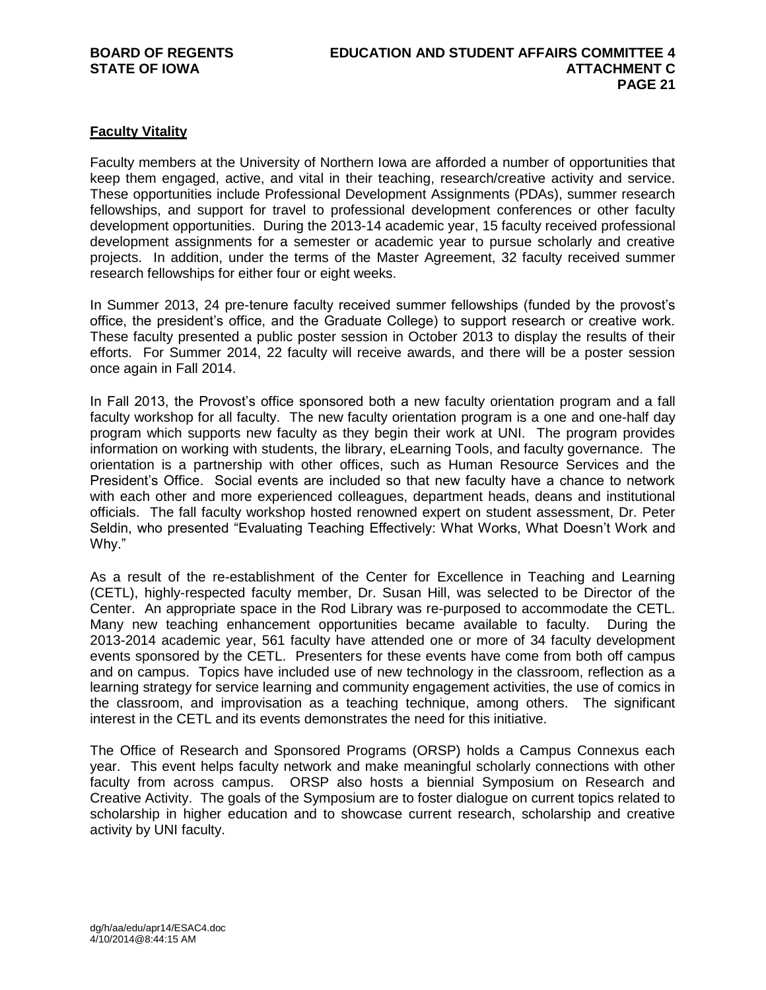# **Faculty Vitality**

Faculty members at the University of Northern Iowa are afforded a number of opportunities that keep them engaged, active, and vital in their teaching, research/creative activity and service. These opportunities include Professional Development Assignments (PDAs), summer research fellowships, and support for travel to professional development conferences or other faculty development opportunities. During the 2013-14 academic year, 15 faculty received professional development assignments for a semester or academic year to pursue scholarly and creative projects. In addition, under the terms of the Master Agreement, 32 faculty received summer research fellowships for either four or eight weeks.

In Summer 2013, 24 pre-tenure faculty received summer fellowships (funded by the provost's office, the president's office, and the Graduate College) to support research or creative work. These faculty presented a public poster session in October 2013 to display the results of their efforts. For Summer 2014, 22 faculty will receive awards, and there will be a poster session once again in Fall 2014.

In Fall 2013, the Provost's office sponsored both a new faculty orientation program and a fall faculty workshop for all faculty. The new faculty orientation program is a one and one-half day program which supports new faculty as they begin their work at UNI. The program provides information on working with students, the library, eLearning Tools, and faculty governance. The orientation is a partnership with other offices, such as Human Resource Services and the President's Office. Social events are included so that new faculty have a chance to network with each other and more experienced colleagues, department heads, deans and institutional officials. The fall faculty workshop hosted renowned expert on student assessment, Dr. Peter Seldin, who presented "Evaluating Teaching Effectively: What Works, What Doesn't Work and Why."

As a result of the re-establishment of the Center for Excellence in Teaching and Learning (CETL), highly-respected faculty member, Dr. Susan Hill, was selected to be Director of the Center. An appropriate space in the Rod Library was re-purposed to accommodate the CETL. Many new teaching enhancement opportunities became available to faculty. During the 2013-2014 academic year, 561 faculty have attended one or more of 34 faculty development events sponsored by the CETL. Presenters for these events have come from both off campus and on campus. Topics have included use of new technology in the classroom, reflection as a learning strategy for service learning and community engagement activities, the use of comics in the classroom, and improvisation as a teaching technique, among others. The significant interest in the CETL and its events demonstrates the need for this initiative.

The Office of Research and Sponsored Programs (ORSP) holds a Campus Connexus each year. This event helps faculty network and make meaningful scholarly connections with other faculty from across campus. ORSP also hosts a biennial Symposium on Research and Creative Activity. The goals of the Symposium are to foster dialogue on current topics related to scholarship in higher education and to showcase current research, scholarship and creative activity by UNI faculty.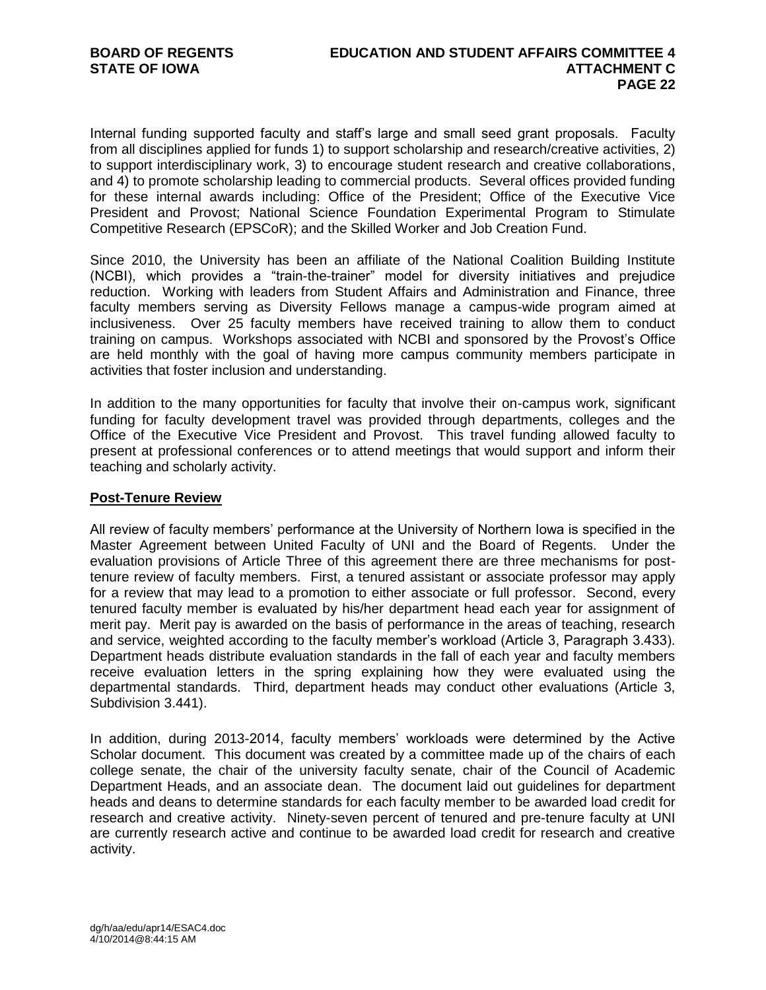Internal funding supported faculty and staff's large and small seed grant proposals. Faculty from all disciplines applied for funds 1) to support scholarship and research/creative activities, 2) to support interdisciplinary work, 3) to encourage student research and creative collaborations, and 4) to promote scholarship leading to commercial products. Several offices provided funding for these internal awards including: Office of the President; Office of the Executive Vice President and Provost; National Science Foundation Experimental Program to Stimulate Competitive Research (EPSCoR); and the Skilled Worker and Job Creation Fund.

Since 2010, the University has been an affiliate of the National Coalition Building Institute (NCBI), which provides a "train-the-trainer" model for diversity initiatives and prejudice reduction. Working with leaders from Student Affairs and Administration and Finance, three faculty members serving as Diversity Fellows manage a campus-wide program aimed at inclusiveness. Over 25 faculty members have received training to allow them to conduct training on campus. Workshops associated with NCBI and sponsored by the Provost's Office are held monthly with the goal of having more campus community members participate in activities that foster inclusion and understanding.

In addition to the many opportunities for faculty that involve their on-campus work, significant funding for faculty development travel was provided through departments, colleges and the Office of the Executive Vice President and Provost. This travel funding allowed faculty to present at professional conferences or to attend meetings that would support and inform their teaching and scholarly activity.

# **Post-Tenure Review**

All review of faculty members' performance at the University of Northern Iowa is specified in the Master Agreement between United Faculty of UNI and the Board of Regents. Under the evaluation provisions of Article Three of this agreement there are three mechanisms for posttenure review of faculty members. First, a tenured assistant or associate professor may apply for a review that may lead to a promotion to either associate or full professor. Second, every tenured faculty member is evaluated by his/her department head each year for assignment of merit pay. Merit pay is awarded on the basis of performance in the areas of teaching, research and service, weighted according to the faculty member's workload (Article 3, Paragraph 3.433). Department heads distribute evaluation standards in the fall of each year and faculty members receive evaluation letters in the spring explaining how they were evaluated using the departmental standards. Third, department heads may conduct other evaluations (Article 3, Subdivision 3.441).

In addition, during 2013-2014, faculty members' workloads were determined by the Active Scholar document. This document was created by a committee made up of the chairs of each college senate, the chair of the university faculty senate, chair of the Council of Academic Department Heads, and an associate dean. The document laid out guidelines for department heads and deans to determine standards for each faculty member to be awarded load credit for research and creative activity. Ninety-seven percent of tenured and pre-tenure faculty at UNI are currently research active and continue to be awarded load credit for research and creative activity.